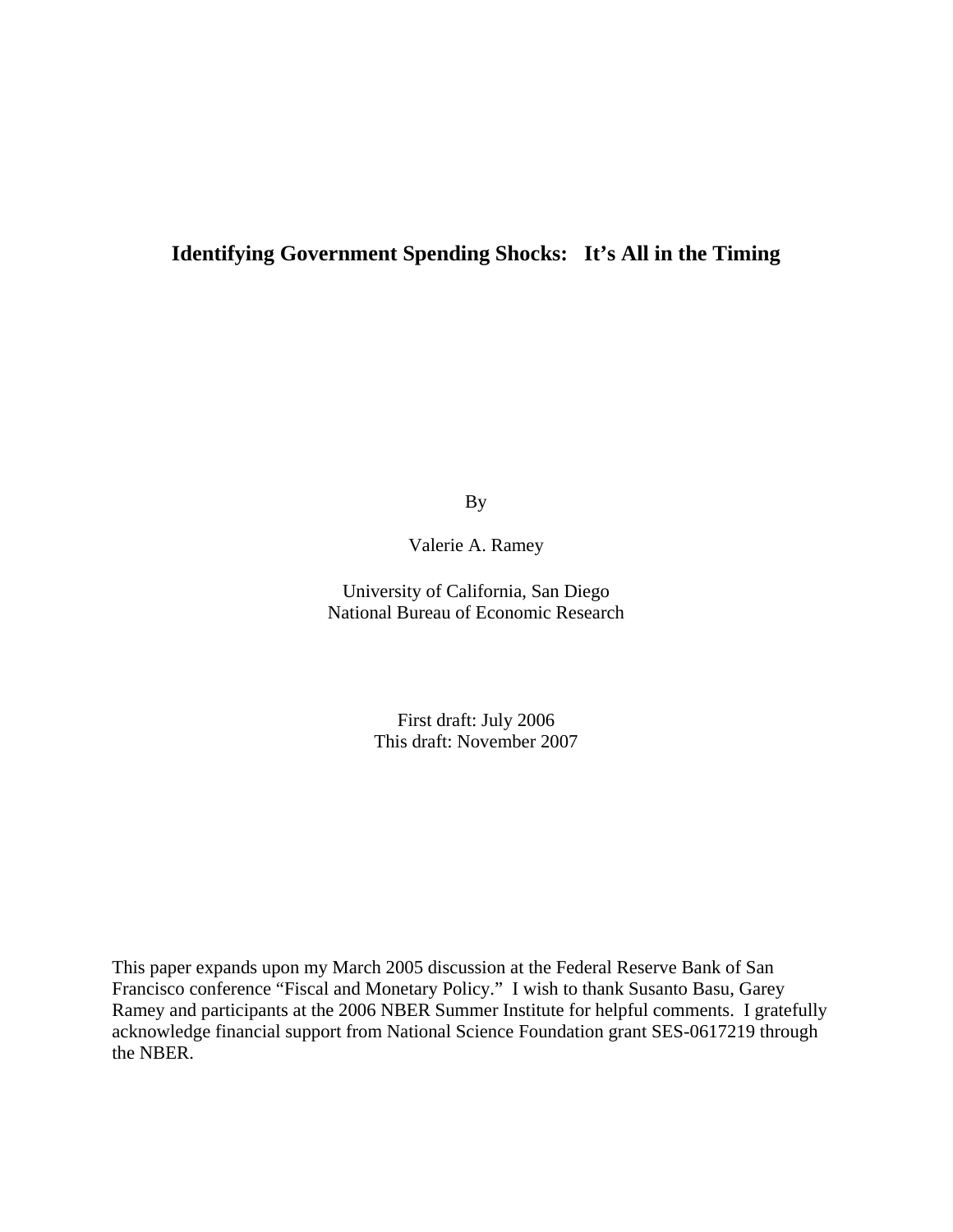# **Identifying Government Spending Shocks: It's All in the Timing**

By

Valerie A. Ramey

University of California, San Diego National Bureau of Economic Research

> First draft: July 2006 This draft: November 2007

This paper expands upon my March 2005 discussion at the Federal Reserve Bank of San Francisco conference "Fiscal and Monetary Policy." I wish to thank Susanto Basu, Garey Ramey and participants at the 2006 NBER Summer Institute for helpful comments. I gratefully acknowledge financial support from National Science Foundation grant SES-0617219 through the NBER.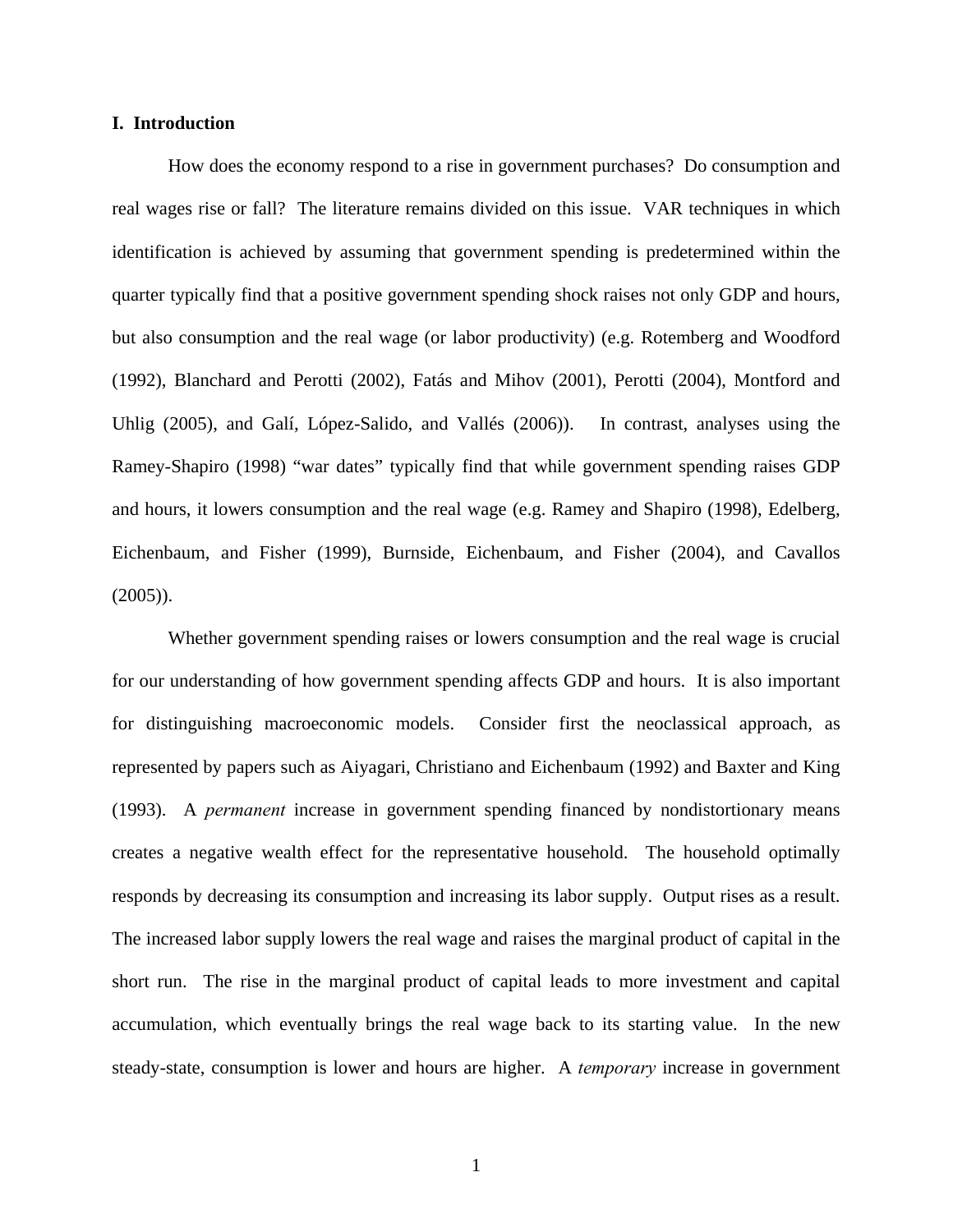# **I. Introduction**

How does the economy respond to a rise in government purchases? Do consumption and real wages rise or fall? The literature remains divided on this issue. VAR techniques in which identification is achieved by assuming that government spending is predetermined within the quarter typically find that a positive government spending shock raises not only GDP and hours, but also consumption and the real wage (or labor productivity) (e.g. Rotemberg and Woodford (1992), Blanchard and Perotti (2002), Fatás and Mihov (2001), Perotti (2004), Montford and Uhlig (2005), and Galí, López-Salido, and Vallés (2006)). In contrast, analyses using the Ramey-Shapiro (1998) "war dates" typically find that while government spending raises GDP and hours, it lowers consumption and the real wage (e.g. Ramey and Shapiro (1998), Edelberg, Eichenbaum, and Fisher (1999), Burnside, Eichenbaum, and Fisher (2004), and Cavallos  $(2005)$ ).

Whether government spending raises or lowers consumption and the real wage is crucial for our understanding of how government spending affects GDP and hours. It is also important for distinguishing macroeconomic models. Consider first the neoclassical approach, as represented by papers such as Aiyagari, Christiano and Eichenbaum (1992) and Baxter and King (1993). A *permanent* increase in government spending financed by nondistortionary means creates a negative wealth effect for the representative household. The household optimally responds by decreasing its consumption and increasing its labor supply. Output rises as a result. The increased labor supply lowers the real wage and raises the marginal product of capital in the short run. The rise in the marginal product of capital leads to more investment and capital accumulation, which eventually brings the real wage back to its starting value. In the new steady-state, consumption is lower and hours are higher. A *temporary* increase in government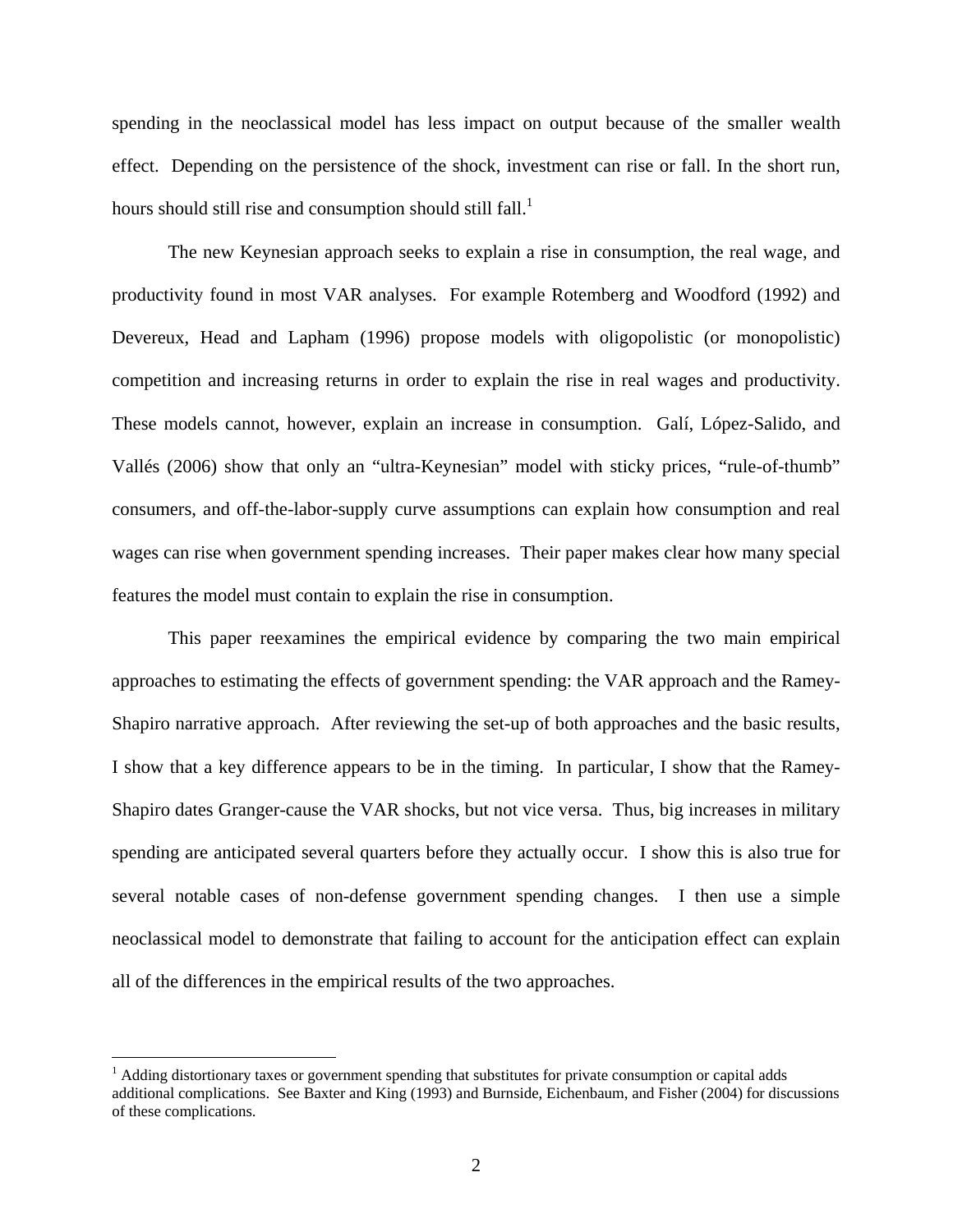spending in the neoclassical model has less impact on output because of the smaller wealth effect. Depending on the persistence of the shock, investment can rise or fall. In the short run, hours should still rise and consumption should still fall.<sup>1</sup>

The new Keynesian approach seeks to explain a rise in consumption, the real wage, and productivity found in most VAR analyses. For example Rotemberg and Woodford (1992) and Devereux, Head and Lapham (1996) propose models with oligopolistic (or monopolistic) competition and increasing returns in order to explain the rise in real wages and productivity. These models cannot, however, explain an increase in consumption. Galí, López-Salido, and Vallés (2006) show that only an "ultra-Keynesian" model with sticky prices, "rule-of-thumb" consumers, and off-the-labor-supply curve assumptions can explain how consumption and real wages can rise when government spending increases. Their paper makes clear how many special features the model must contain to explain the rise in consumption.

This paper reexamines the empirical evidence by comparing the two main empirical approaches to estimating the effects of government spending: the VAR approach and the Ramey-Shapiro narrative approach. After reviewing the set-up of both approaches and the basic results, I show that a key difference appears to be in the timing. In particular, I show that the Ramey-Shapiro dates Granger-cause the VAR shocks, but not vice versa. Thus, big increases in military spending are anticipated several quarters before they actually occur. I show this is also true for several notable cases of non-defense government spending changes. I then use a simple neoclassical model to demonstrate that failing to account for the anticipation effect can explain all of the differences in the empirical results of the two approaches.

1

<span id="page-2-0"></span><sup>&</sup>lt;sup>1</sup> Adding distortionary taxes or government spending that substitutes for private consumption or capital adds additional complications. See Baxter and King (1993) and Burnside, Eichenbaum, and Fisher (2004) for discussions of these complications.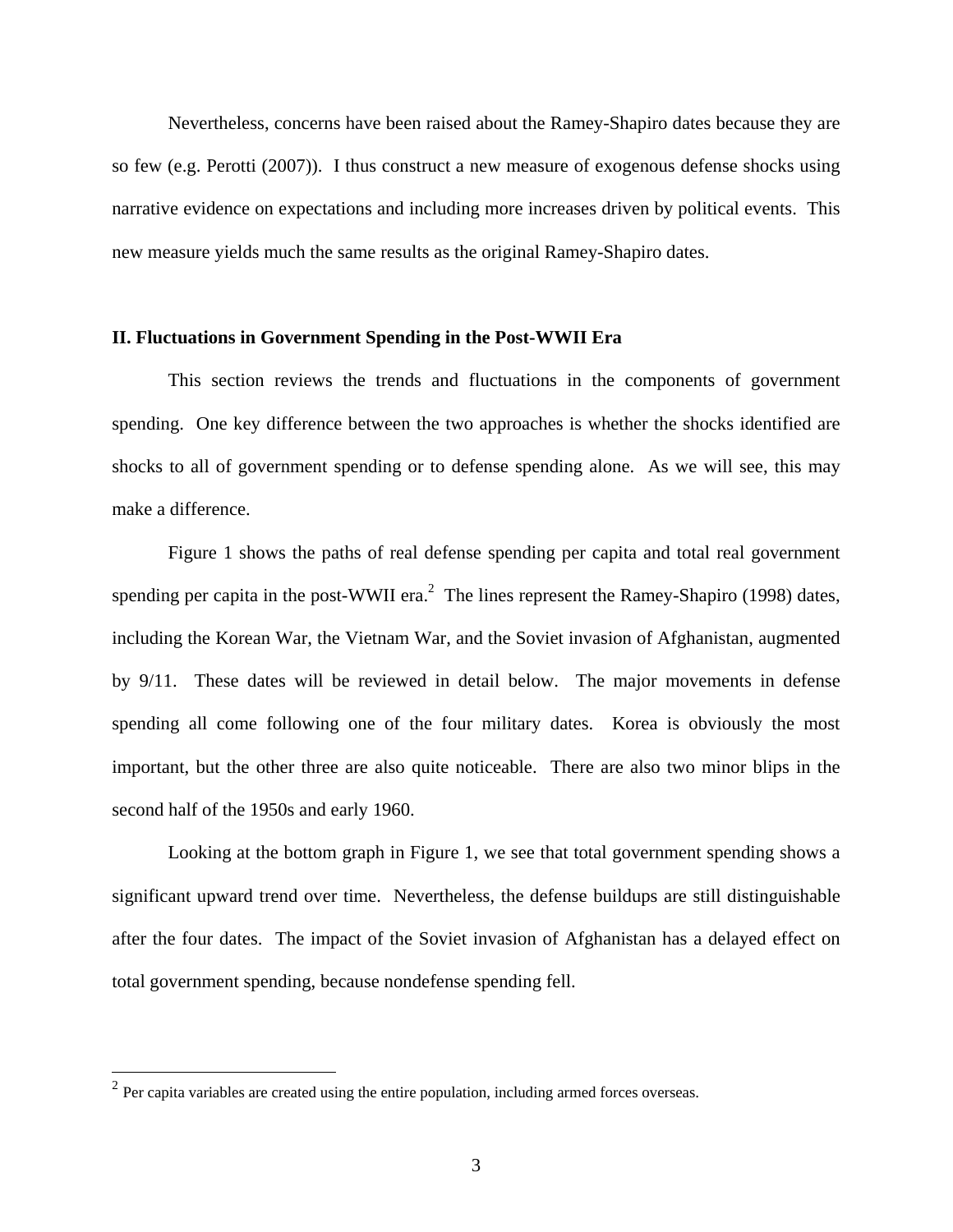Nevertheless, concerns have been raised about the Ramey-Shapiro dates because they are so few (e.g. Perotti (2007)). I thus construct a new measure of exogenous defense shocks using narrative evidence on expectations and including more increases driven by political events. This new measure yields much the same results as the original Ramey-Shapiro dates.

## **II. Fluctuations in Government Spending in the Post-WWII Era**

This section reviews the trends and fluctuations in the components of government spending. One key difference between the two approaches is whether the shocks identified are shocks to all of government spending or to defense spending alone. As we will see, this may make a difference.

Figure 1 shows the paths of real defense spending per capita and total real government spending per capita in the post-WWII era.<sup>[2](#page-3-0)</sup> The lines represent the Ramey-Shapiro (1998) dates, including the Korean War, the Vietnam War, and the Soviet invasion of Afghanistan, augmented by 9/11. These dates will be reviewed in detail below. The major movements in defense spending all come following one of the four military dates. Korea is obviously the most important, but the other three are also quite noticeable. There are also two minor blips in the second half of the 1950s and early 1960.

Looking at the bottom graph in Figure 1, we see that total government spending shows a significant upward trend over time. Nevertheless, the defense buildups are still distinguishable after the four dates. The impact of the Soviet invasion of Afghanistan has a delayed effect on total government spending, because nondefense spending fell.

 $\overline{a}$ 

<span id="page-3-0"></span> $2^{2}$  Per capita variables are created using the entire population, including armed forces overseas.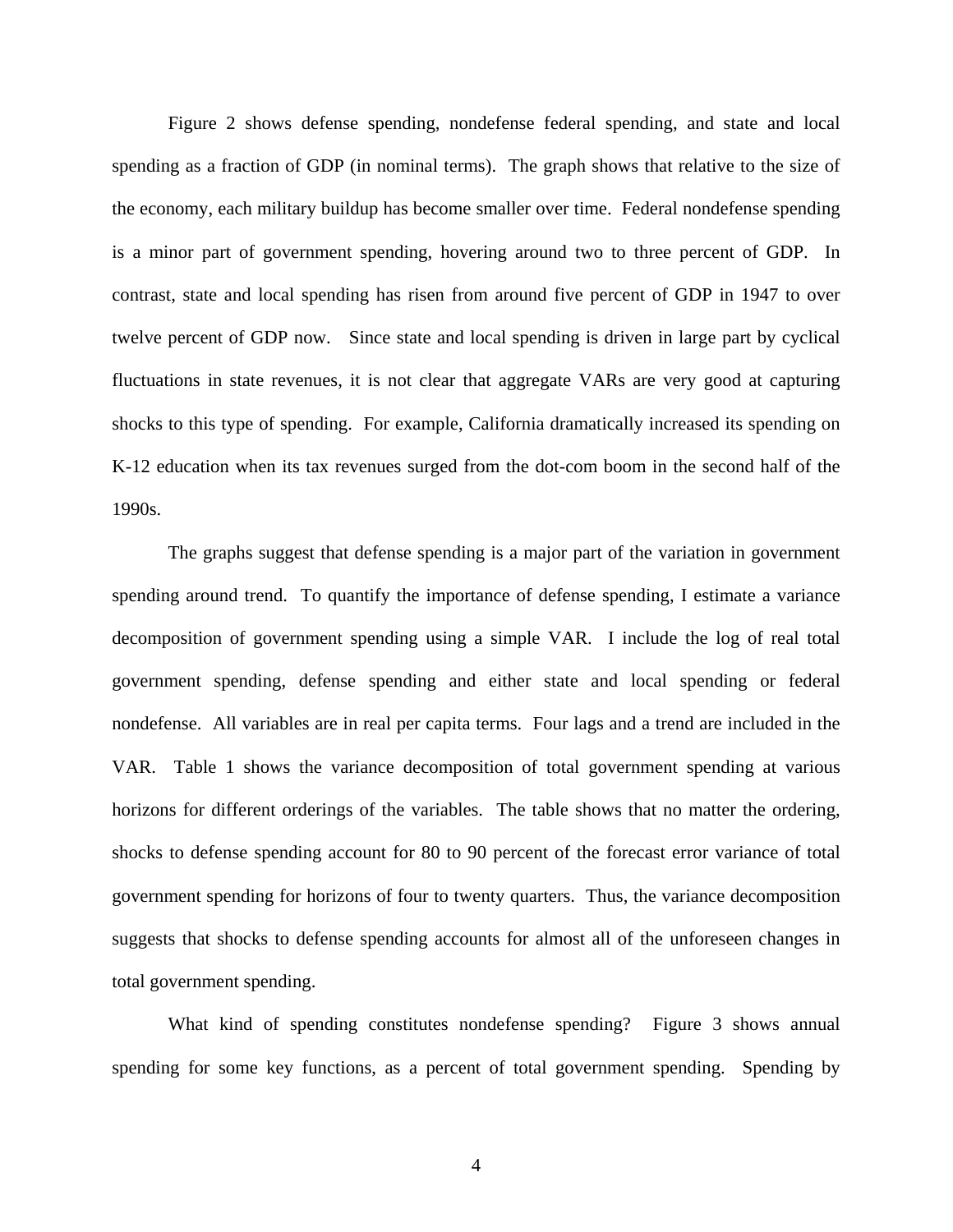Figure 2 shows defense spending, nondefense federal spending, and state and local spending as a fraction of GDP (in nominal terms). The graph shows that relative to the size of the economy, each military buildup has become smaller over time. Federal nondefense spending is a minor part of government spending, hovering around two to three percent of GDP. In contrast, state and local spending has risen from around five percent of GDP in 1947 to over twelve percent of GDP now. Since state and local spending is driven in large part by cyclical fluctuations in state revenues, it is not clear that aggregate VARs are very good at capturing shocks to this type of spending. For example, California dramatically increased its spending on K-12 education when its tax revenues surged from the dot-com boom in the second half of the 1990s.

The graphs suggest that defense spending is a major part of the variation in government spending around trend. To quantify the importance of defense spending, I estimate a variance decomposition of government spending using a simple VAR. I include the log of real total government spending, defense spending and either state and local spending or federal nondefense. All variables are in real per capita terms. Four lags and a trend are included in the VAR. Table 1 shows the variance decomposition of total government spending at various horizons for different orderings of the variables. The table shows that no matter the ordering, shocks to defense spending account for 80 to 90 percent of the forecast error variance of total government spending for horizons of four to twenty quarters. Thus, the variance decomposition suggests that shocks to defense spending accounts for almost all of the unforeseen changes in total government spending.

What kind of spending constitutes nondefense spending? Figure 3 shows annual spending for some key functions, as a percent of total government spending. Spending by

4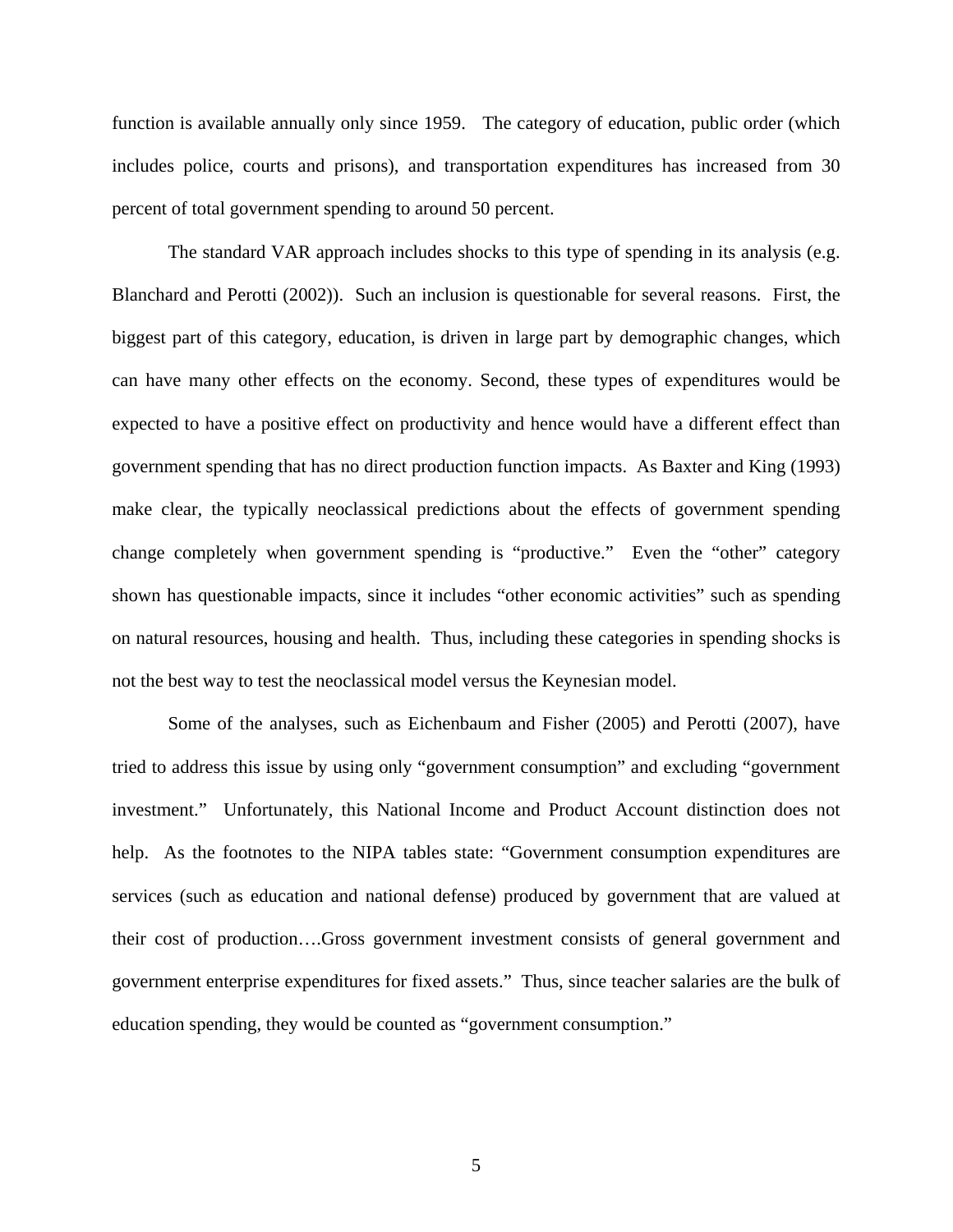function is available annually only since 1959. The category of education, public order (which includes police, courts and prisons), and transportation expenditures has increased from 30 percent of total government spending to around 50 percent.

The standard VAR approach includes shocks to this type of spending in its analysis (e.g. Blanchard and Perotti (2002)). Such an inclusion is questionable for several reasons. First, the biggest part of this category, education, is driven in large part by demographic changes, which can have many other effects on the economy. Second, these types of expenditures would be expected to have a positive effect on productivity and hence would have a different effect than government spending that has no direct production function impacts. As Baxter and King (1993) make clear, the typically neoclassical predictions about the effects of government spending change completely when government spending is "productive." Even the "other" category shown has questionable impacts, since it includes "other economic activities" such as spending on natural resources, housing and health. Thus, including these categories in spending shocks is not the best way to test the neoclassical model versus the Keynesian model.

Some of the analyses, such as Eichenbaum and Fisher (2005) and Perotti (2007), have tried to address this issue by using only "government consumption" and excluding "government investment." Unfortunately, this National Income and Product Account distinction does not help. As the footnotes to the NIPA tables state: "Government consumption expenditures are services (such as education and national defense) produced by government that are valued at their cost of production….Gross government investment consists of general government and government enterprise expenditures for fixed assets." Thus, since teacher salaries are the bulk of education spending, they would be counted as "government consumption."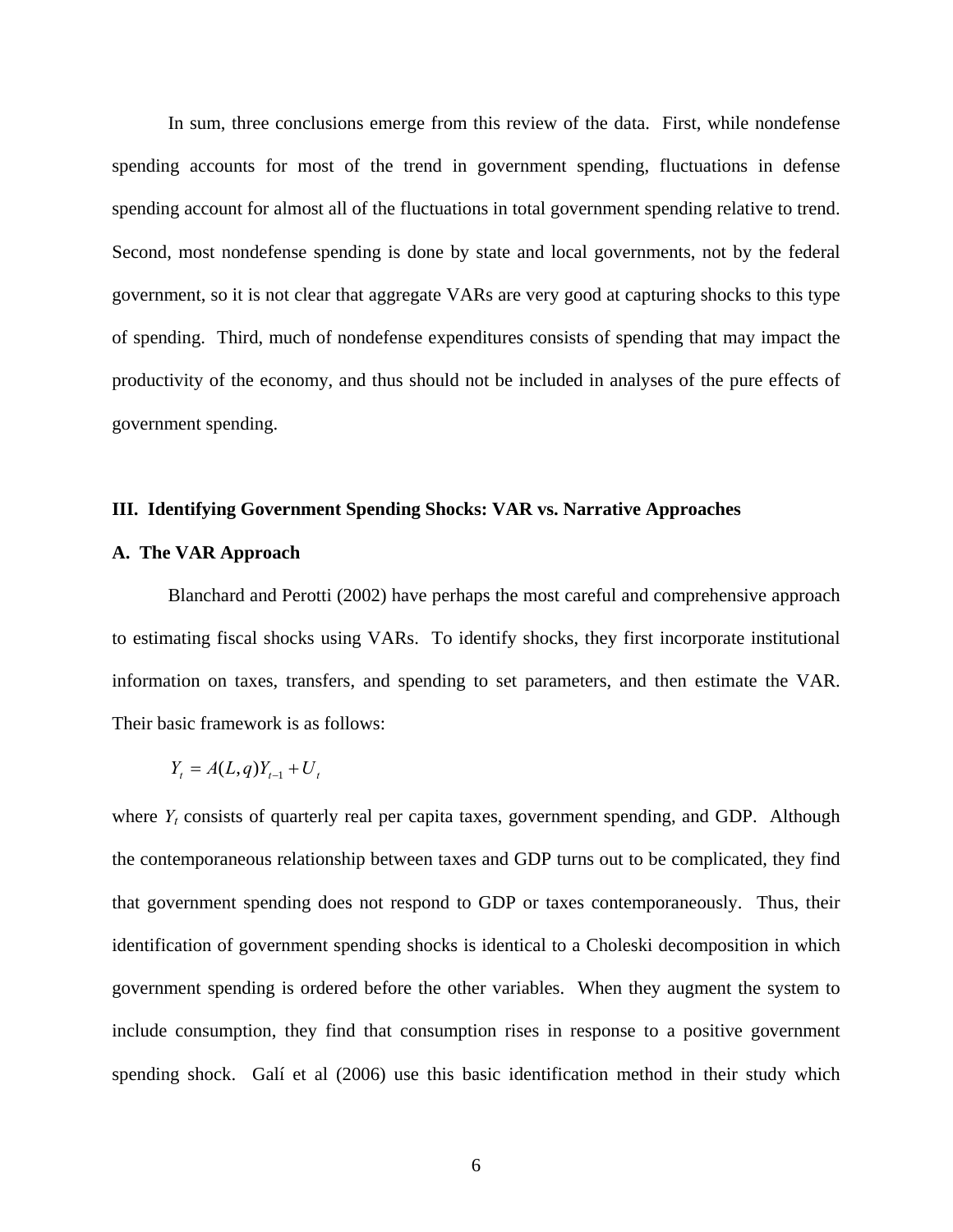In sum, three conclusions emerge from this review of the data. First, while nondefense spending accounts for most of the trend in government spending, fluctuations in defense spending account for almost all of the fluctuations in total government spending relative to trend. Second, most nondefense spending is done by state and local governments, not by the federal government, so it is not clear that aggregate VARs are very good at capturing shocks to this type of spending. Third, much of nondefense expenditures consists of spending that may impact the productivity of the economy, and thus should not be included in analyses of the pure effects of government spending.

# **III. Identifying Government Spending Shocks: VAR vs. Narrative Approaches**

### **A. The VAR Approach**

Blanchard and Perotti (2002) have perhaps the most careful and comprehensive approach to estimating fiscal shocks using VARs. To identify shocks, they first incorporate institutional information on taxes, transfers, and spending to set parameters, and then estimate the VAR. Their basic framework is as follows:

$$
Y_t = A(L,q)Y_{t-1} + U_t
$$

where  $Y_t$  consists of quarterly real per capita taxes, government spending, and GDP. Although the contemporaneous relationship between taxes and GDP turns out to be complicated, they find that government spending does not respond to GDP or taxes contemporaneously. Thus, their identification of government spending shocks is identical to a Choleski decomposition in which government spending is ordered before the other variables. When they augment the system to include consumption, they find that consumption rises in response to a positive government spending shock. Galí et al (2006) use this basic identification method in their study which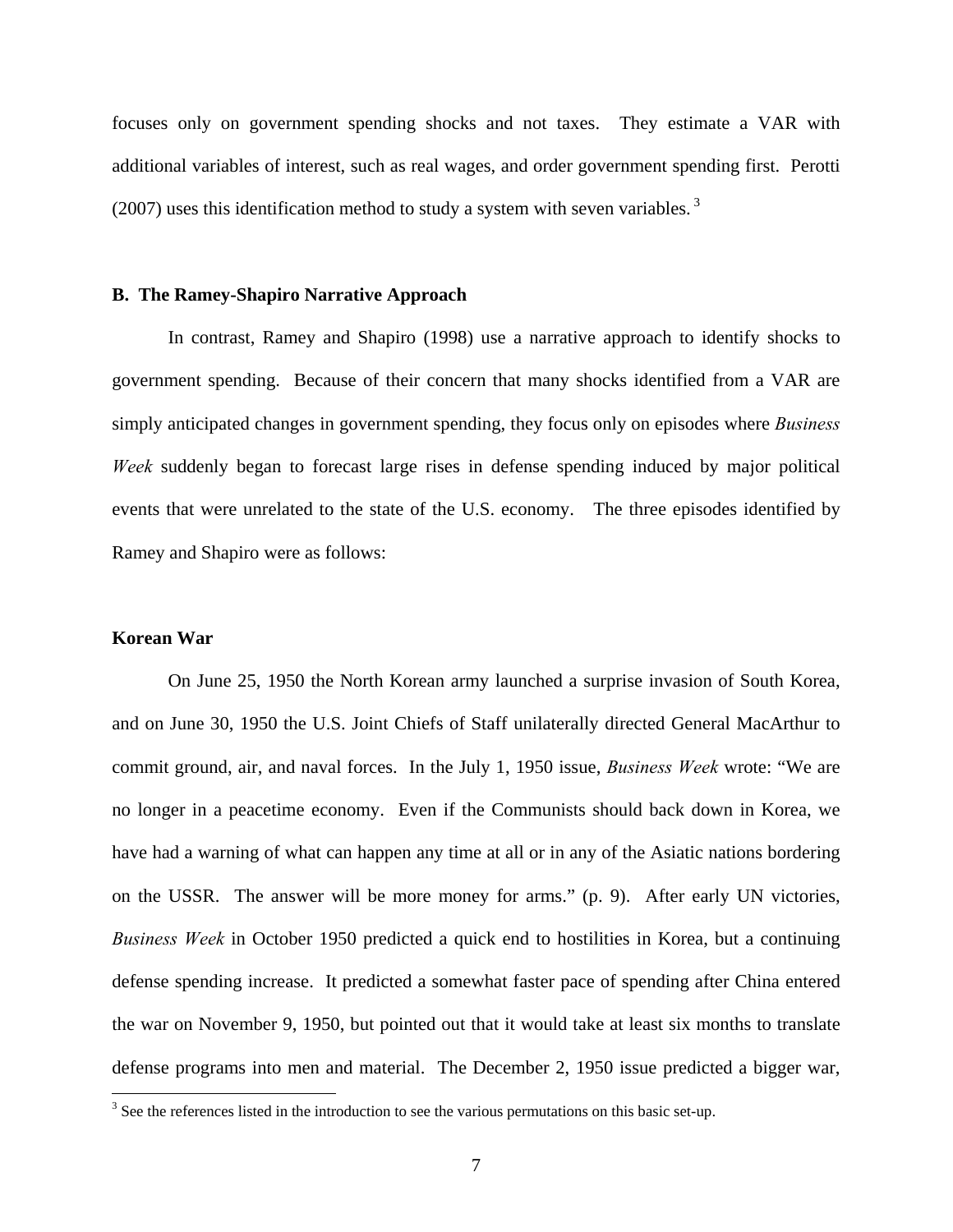focuses only on government spending shocks and not taxes. They estimate a VAR with additional variables of interest, such as real wages, and order government spending first. Perotti (2007) uses this identification method to study a system with seven variables.<sup>[3](#page-7-0)</sup>

### **B. The Ramey-Shapiro Narrative Approach**

In contrast, Ramey and Shapiro (1998) use a narrative approach to identify shocks to government spending. Because of their concern that many shocks identified from a VAR are simply anticipated changes in government spending, they focus only on episodes where *Business Week* suddenly began to forecast large rises in defense spending induced by major political events that were unrelated to the state of the U.S. economy. The three episodes identified by Ramey and Shapiro were as follows:

## **Korean War**

On June 25, 1950 the North Korean army launched a surprise invasion of South Korea, and on June 30, 1950 the U.S. Joint Chiefs of Staff unilaterally directed General MacArthur to commit ground, air, and naval forces. In the July 1, 1950 issue, *Business Week* wrote: "We are no longer in a peacetime economy. Even if the Communists should back down in Korea, we have had a warning of what can happen any time at all or in any of the Asiatic nations bordering on the USSR. The answer will be more money for arms." (p. 9). After early UN victories, *Business Week* in October 1950 predicted a quick end to hostilities in Korea, but a continuing defense spending increase. It predicted a somewhat faster pace of spending after China entered the war on November 9, 1950, but pointed out that it would take at least six months to translate defense programs into men and material. The December 2, 1950 issue predicted a bigger war,

<span id="page-7-0"></span><sup>&</sup>lt;sup>3</sup> See the references listed in the introduction to see the various permutations on this basic set-up.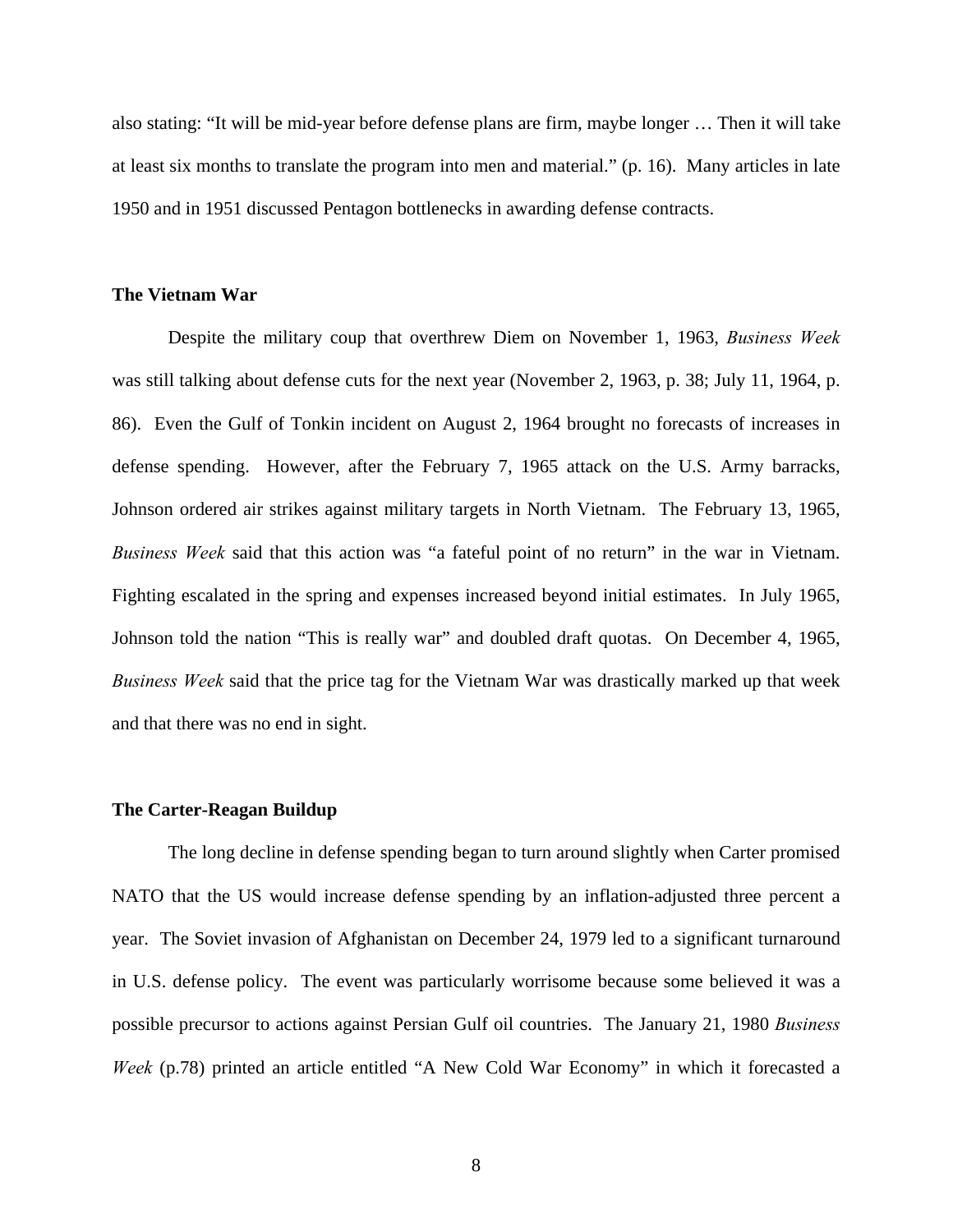also stating: "It will be mid-year before defense plans are firm, maybe longer … Then it will take at least six months to translate the program into men and material." (p. 16). Many articles in late 1950 and in 1951 discussed Pentagon bottlenecks in awarding defense contracts.

# **The Vietnam War**

Despite the military coup that overthrew Diem on November 1, 1963, *Business Week* was still talking about defense cuts for the next year (November 2, 1963, p. 38; July 11, 1964, p. 86). Even the Gulf of Tonkin incident on August 2, 1964 brought no forecasts of increases in defense spending. However, after the February 7, 1965 attack on the U.S. Army barracks, Johnson ordered air strikes against military targets in North Vietnam. The February 13, 1965, *Business Week* said that this action was "a fateful point of no return" in the war in Vietnam. Fighting escalated in the spring and expenses increased beyond initial estimates. In July 1965, Johnson told the nation "This is really war" and doubled draft quotas. On December 4, 1965, *Business Week* said that the price tag for the Vietnam War was drastically marked up that week and that there was no end in sight.

#### **The Carter-Reagan Buildup**

The long decline in defense spending began to turn around slightly when Carter promised NATO that the US would increase defense spending by an inflation-adjusted three percent a year. The Soviet invasion of Afghanistan on December 24, 1979 led to a significant turnaround in U.S. defense policy. The event was particularly worrisome because some believed it was a possible precursor to actions against Persian Gulf oil countries. The January 21, 1980 *Business Week* (p.78) printed an article entitled "A New Cold War Economy" in which it forecasted a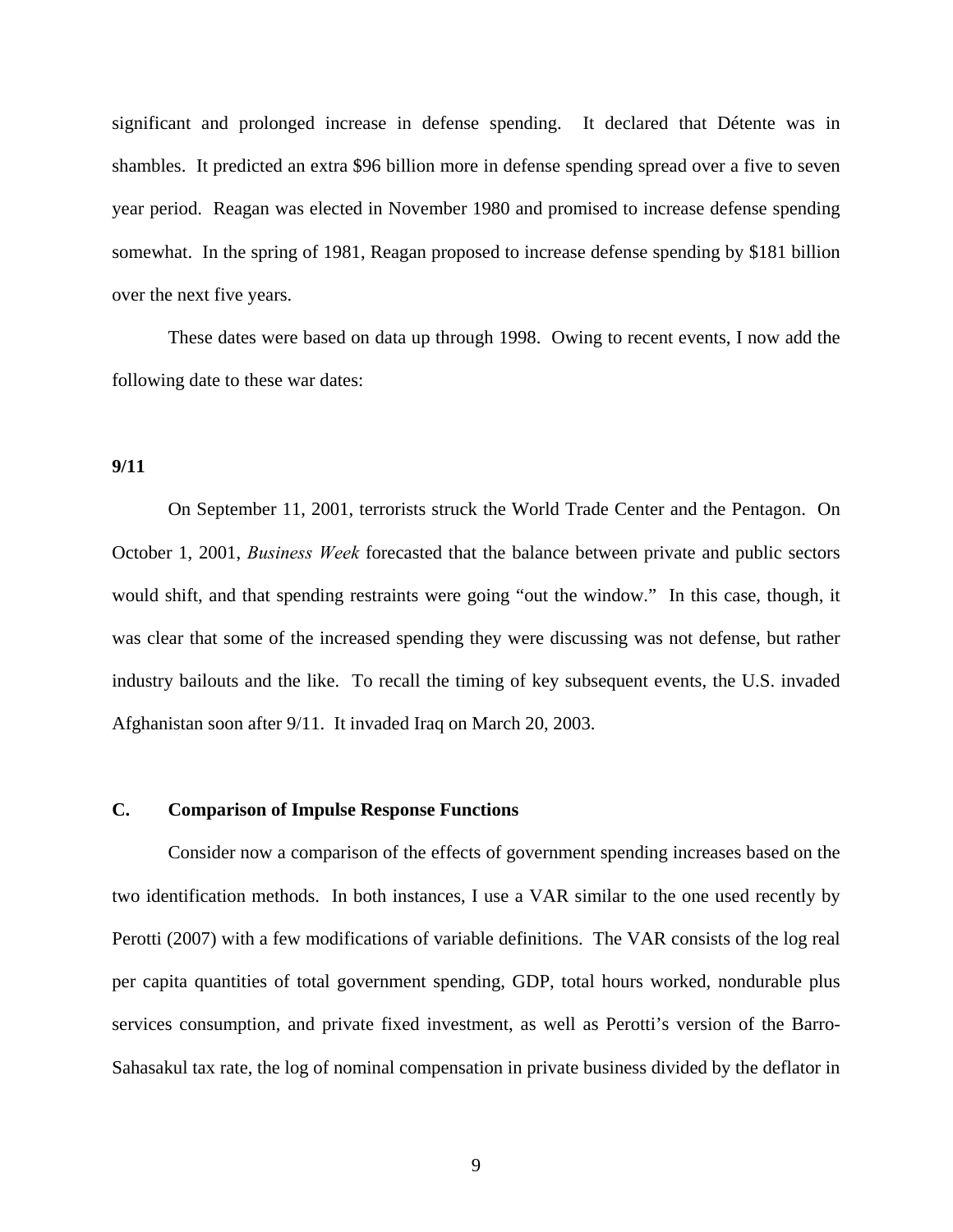significant and prolonged increase in defense spending. It declared that Détente was in shambles. It predicted an extra \$96 billion more in defense spending spread over a five to seven year period. Reagan was elected in November 1980 and promised to increase defense spending somewhat. In the spring of 1981, Reagan proposed to increase defense spending by \$181 billion over the next five years.

These dates were based on data up through 1998. Owing to recent events, I now add the following date to these war dates:

# **9/11**

On September 11, 2001, terrorists struck the World Trade Center and the Pentagon. On October 1, 2001, *Business Week* forecasted that the balance between private and public sectors would shift, and that spending restraints were going "out the window." In this case, though, it was clear that some of the increased spending they were discussing was not defense, but rather industry bailouts and the like. To recall the timing of key subsequent events, the U.S. invaded Afghanistan soon after 9/11. It invaded Iraq on March 20, 2003.

## **C. Comparison of Impulse Response Functions**

Consider now a comparison of the effects of government spending increases based on the two identification methods. In both instances, I use a VAR similar to the one used recently by Perotti (2007) with a few modifications of variable definitions. The VAR consists of the log real per capita quantities of total government spending, GDP, total hours worked, nondurable plus services consumption, and private fixed investment, as well as Perotti's version of the Barro-Sahasakul tax rate, the log of nominal compensation in private business divided by the deflator in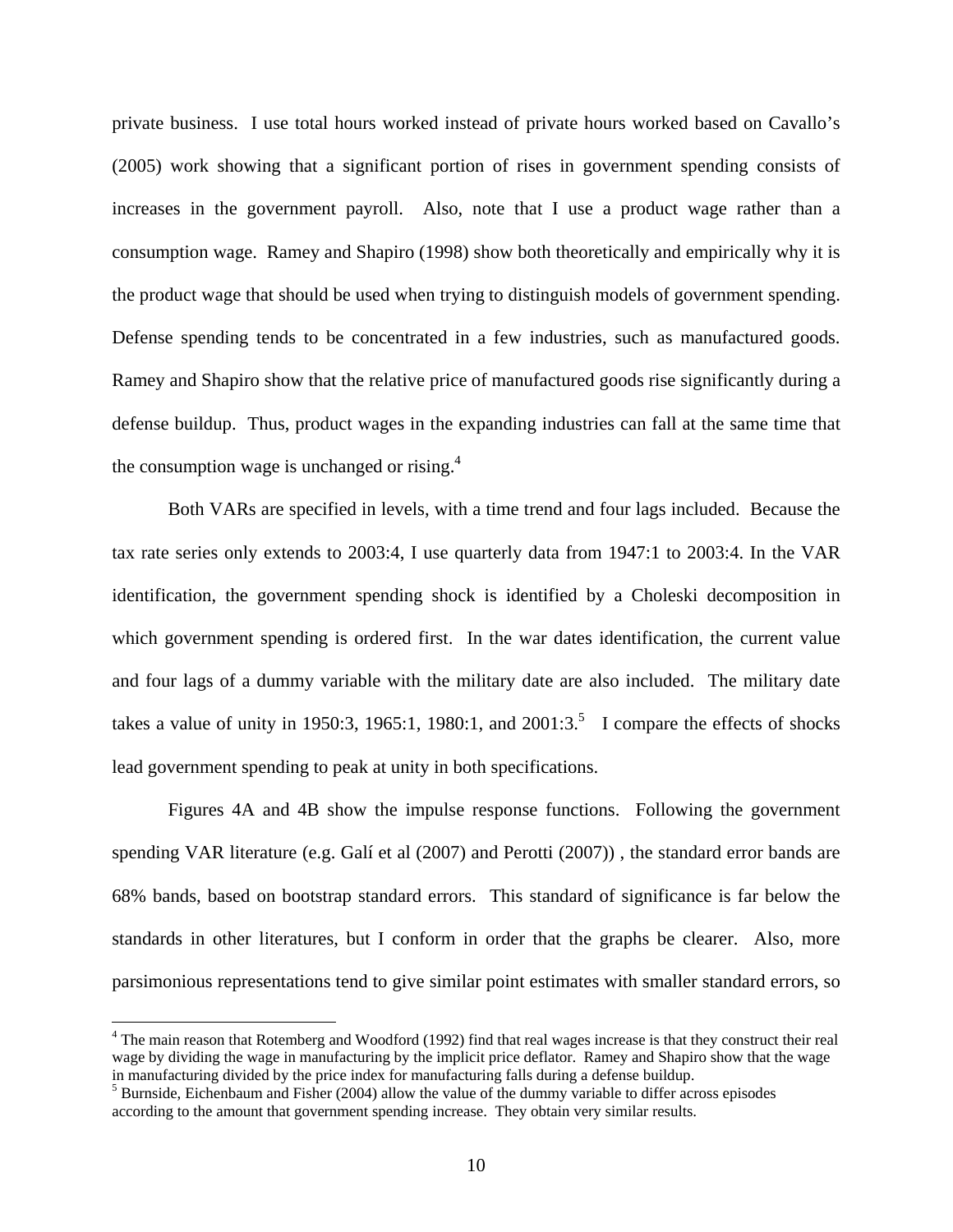private business. I use total hours worked instead of private hours worked based on Cavallo's (2005) work showing that a significant portion of rises in government spending consists of increases in the government payroll. Also, note that I use a product wage rather than a consumption wage. Ramey and Shapiro (1998) show both theoretically and empirically why it is the product wage that should be used when trying to distinguish models of government spending. Defense spending tends to be concentrated in a few industries, such as manufactured goods. Ramey and Shapiro show that the relative price of manufactured goods rise significantly during a defense buildup. Thus, product wages in the expanding industries can fall at the same time that the consumption wage is unchanged or rising. $4$ 

Both VARs are specified in levels, with a time trend and four lags included. Because the tax rate series only extends to 2003:4, I use quarterly data from 1947:1 to 2003:4. In the VAR identification, the government spending shock is identified by a Choleski decomposition in which government spending is ordered first. In the war dates identification, the current value and four lags of a dummy variable with the military date are also included. The military date takes a value of unity in 19[5](#page-10-1)0:3, 1965:1, 1980:1, and 2001:3.<sup>5</sup> I compare the effects of shocks lead government spending to peak at unity in both specifications.

Figures 4A and 4B show the impulse response functions. Following the government spending VAR literature (e.g. Galí et al (2007) and Perotti (2007)) , the standard error bands are 68% bands, based on bootstrap standard errors. This standard of significance is far below the standards in other literatures, but I conform in order that the graphs be clearer. Also, more parsimonious representations tend to give similar point estimates with smaller standard errors, so

1

<span id="page-10-0"></span><sup>&</sup>lt;sup>4</sup> The main reason that Rotemberg and Woodford (1992) find that real wages increase is that they construct their real wage by dividing the wage in manufacturing by the implicit price deflator. Ramey and Shapiro show that the wage in manufacturing divided by the price index for manufacturing falls during a defense buildup. 5

<span id="page-10-1"></span> $<sup>5</sup>$  Burnside, Eichenbaum and Fisher (2004) allow the value of the dummy variable to differ across episodes</sup> according to the amount that government spending increase. They obtain very similar results.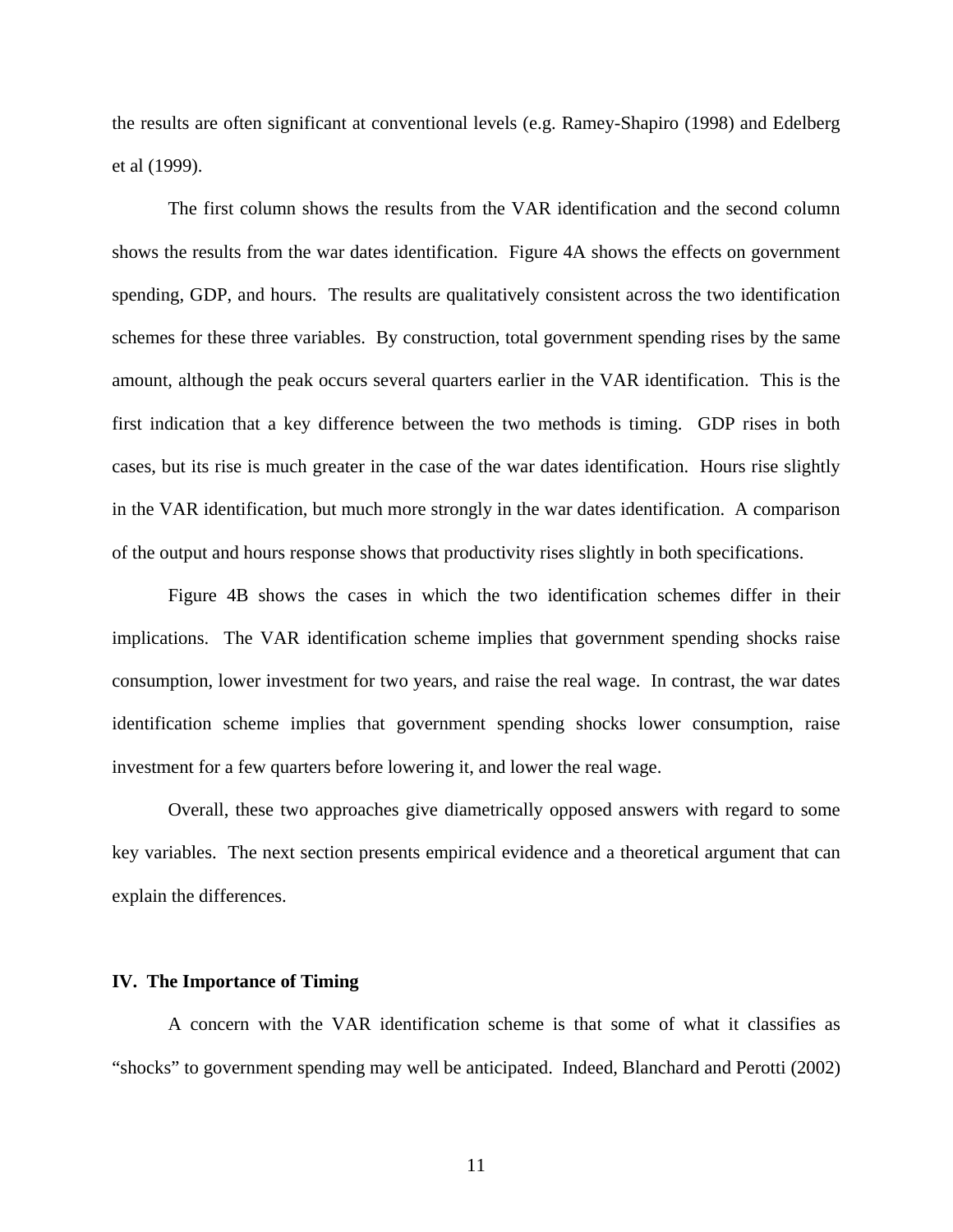the results are often significant at conventional levels (e.g. Ramey-Shapiro (1998) and Edelberg et al (1999).

The first column shows the results from the VAR identification and the second column shows the results from the war dates identification. Figure 4A shows the effects on government spending, GDP, and hours. The results are qualitatively consistent across the two identification schemes for these three variables. By construction, total government spending rises by the same amount, although the peak occurs several quarters earlier in the VAR identification. This is the first indication that a key difference between the two methods is timing. GDP rises in both cases, but its rise is much greater in the case of the war dates identification. Hours rise slightly in the VAR identification, but much more strongly in the war dates identification. A comparison of the output and hours response shows that productivity rises slightly in both specifications.

Figure 4B shows the cases in which the two identification schemes differ in their implications. The VAR identification scheme implies that government spending shocks raise consumption, lower investment for two years, and raise the real wage. In contrast, the war dates identification scheme implies that government spending shocks lower consumption, raise investment for a few quarters before lowering it, and lower the real wage.

Overall, these two approaches give diametrically opposed answers with regard to some key variables. The next section presents empirical evidence and a theoretical argument that can explain the differences.

#### **IV. The Importance of Timing**

A concern with the VAR identification scheme is that some of what it classifies as "shocks" to government spending may well be anticipated. Indeed, Blanchard and Perotti (2002)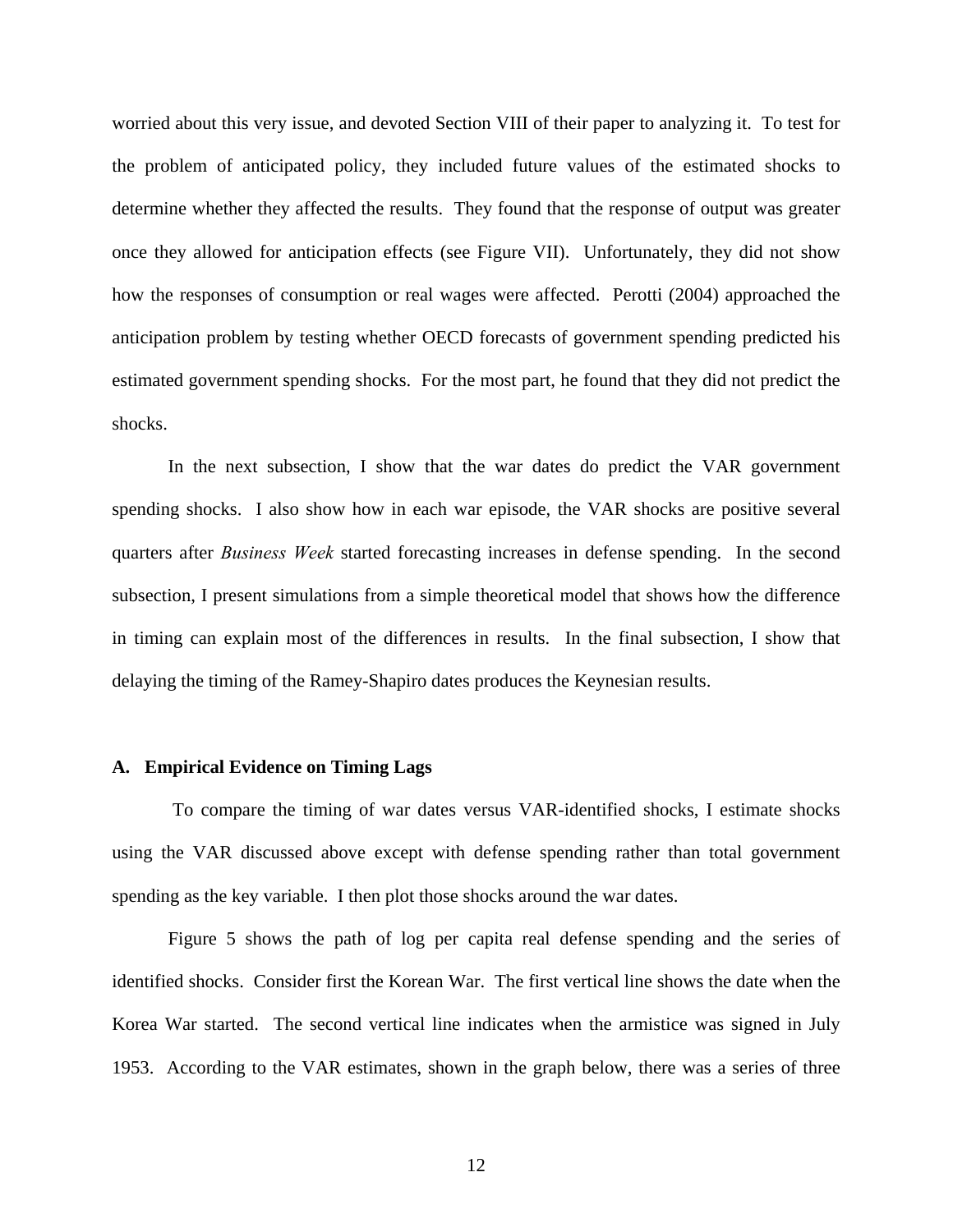worried about this very issue, and devoted Section VIII of their paper to analyzing it. To test for the problem of anticipated policy, they included future values of the estimated shocks to determine whether they affected the results. They found that the response of output was greater once they allowed for anticipation effects (see Figure VII). Unfortunately, they did not show how the responses of consumption or real wages were affected. Perotti (2004) approached the anticipation problem by testing whether OECD forecasts of government spending predicted his estimated government spending shocks. For the most part, he found that they did not predict the shocks.

In the next subsection, I show that the war dates do predict the VAR government spending shocks. I also show how in each war episode, the VAR shocks are positive several quarters after *Business Week* started forecasting increases in defense spending. In the second subsection, I present simulations from a simple theoretical model that shows how the difference in timing can explain most of the differences in results. In the final subsection, I show that delaying the timing of the Ramey-Shapiro dates produces the Keynesian results.

# **A. Empirical Evidence on Timing Lags**

To compare the timing of war dates versus VAR-identified shocks, I estimate shocks using the VAR discussed above except with defense spending rather than total government spending as the key variable. I then plot those shocks around the war dates.

Figure 5 shows the path of log per capita real defense spending and the series of identified shocks. Consider first the Korean War. The first vertical line shows the date when the Korea War started. The second vertical line indicates when the armistice was signed in July 1953. According to the VAR estimates, shown in the graph below, there was a series of three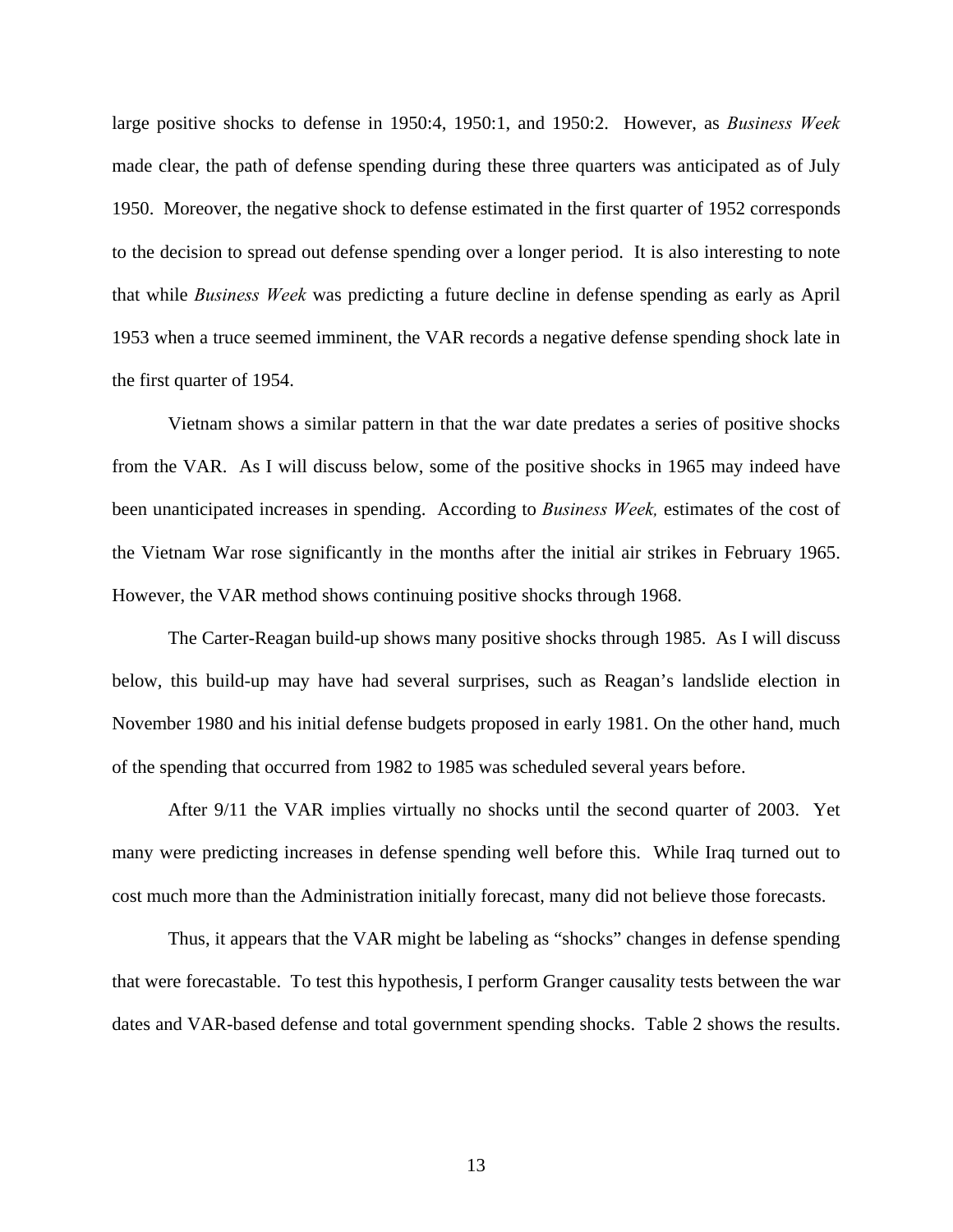large positive shocks to defense in 1950:4, 1950:1, and 1950:2. However, as *Business Week* made clear, the path of defense spending during these three quarters was anticipated as of July 1950. Moreover, the negative shock to defense estimated in the first quarter of 1952 corresponds to the decision to spread out defense spending over a longer period. It is also interesting to note that while *Business Week* was predicting a future decline in defense spending as early as April 1953 when a truce seemed imminent, the VAR records a negative defense spending shock late in the first quarter of 1954.

Vietnam shows a similar pattern in that the war date predates a series of positive shocks from the VAR. As I will discuss below, some of the positive shocks in 1965 may indeed have been unanticipated increases in spending. According to *Business Week,* estimates of the cost of the Vietnam War rose significantly in the months after the initial air strikes in February 1965. However, the VAR method shows continuing positive shocks through 1968.

The Carter-Reagan build-up shows many positive shocks through 1985. As I will discuss below, this build-up may have had several surprises, such as Reagan's landslide election in November 1980 and his initial defense budgets proposed in early 1981. On the other hand, much of the spending that occurred from 1982 to 1985 was scheduled several years before.

After 9/11 the VAR implies virtually no shocks until the second quarter of 2003. Yet many were predicting increases in defense spending well before this. While Iraq turned out to cost much more than the Administration initially forecast, many did not believe those forecasts.

Thus, it appears that the VAR might be labeling as "shocks" changes in defense spending that were forecastable. To test this hypothesis, I perform Granger causality tests between the war dates and VAR-based defense and total government spending shocks. Table 2 shows the results.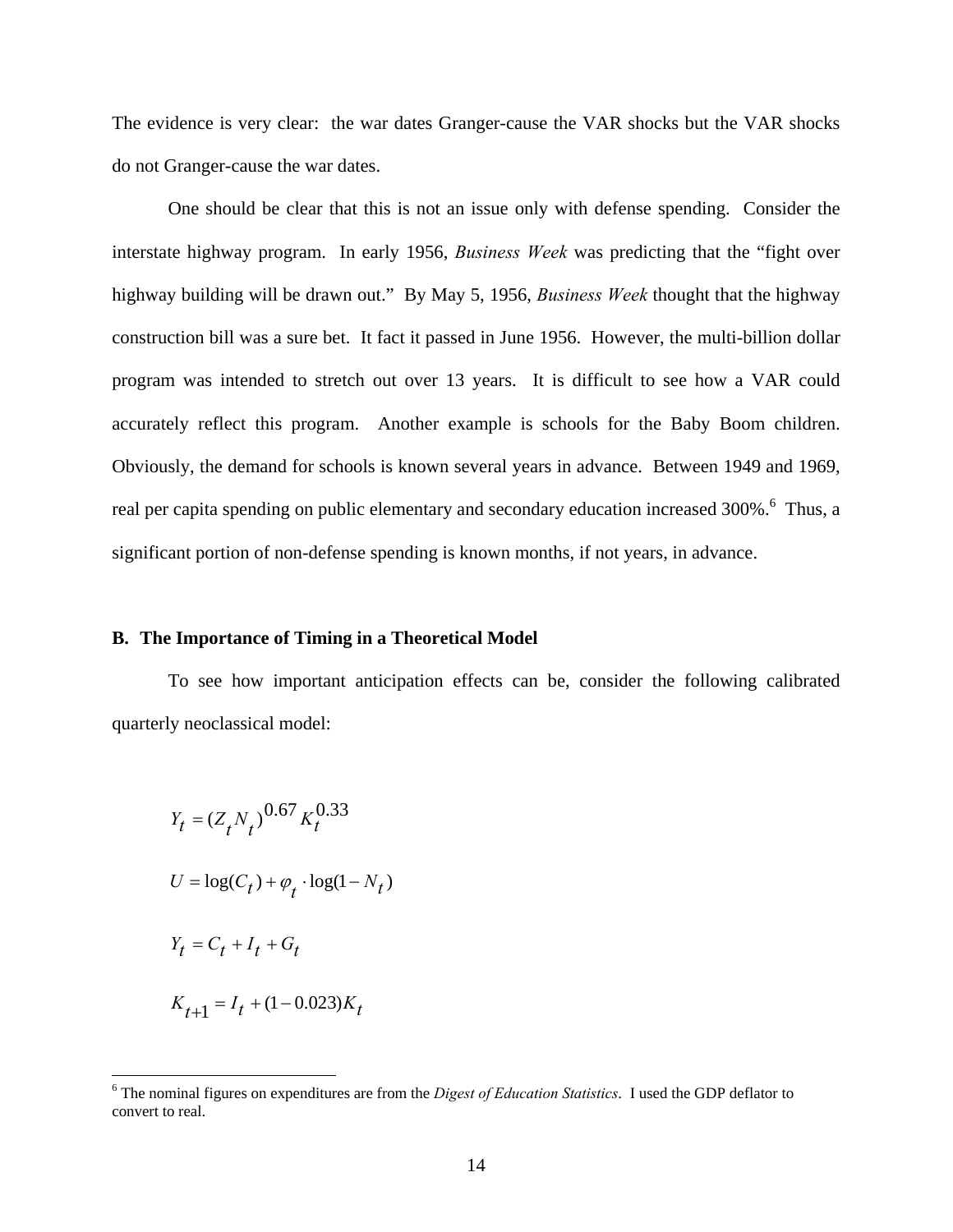The evidence is very clear: the war dates Granger-cause the VAR shocks but the VAR shocks do not Granger-cause the war dates.

One should be clear that this is not an issue only with defense spending. Consider the interstate highway program. In early 1956, *Business Week* was predicting that the "fight over highway building will be drawn out." By May 5, 1956, *Business Week* thought that the highway construction bill was a sure bet. It fact it passed in June 1956. However, the multi-billion dollar program was intended to stretch out over 13 years. It is difficult to see how a VAR could accurately reflect this program. Another example is schools for the Baby Boom children. Obviously, the demand for schools is known several years in advance. Between 1949 and 1969, real per capita spending on public elementary and secondary education increased 300%. <sup>[6](#page-14-0)</sup> Thus, a significant portion of non-defense spending is known months, if not years, in advance.

# **B. The Importance of Timing in a Theoretical Model**

To see how important anticipation effects can be, consider the following calibrated quarterly neoclassical model:

$$
Y_t = (Z_t N_t)^{0.67} K_t^{0.33}
$$
  
\n
$$
U = \log(C_t) + \varphi_t \cdot \log(1 - N_t)
$$
  
\n
$$
Y_t = C_t + I_t + G_t
$$
  
\n
$$
K_{t+1} = I_t + (1 - 0.023)K_t
$$

<span id="page-14-0"></span> $\frac{1}{6}$  The nominal figures on expenditures are from the *Digest of Education Statistics*. I used the GDP deflator to convert to real.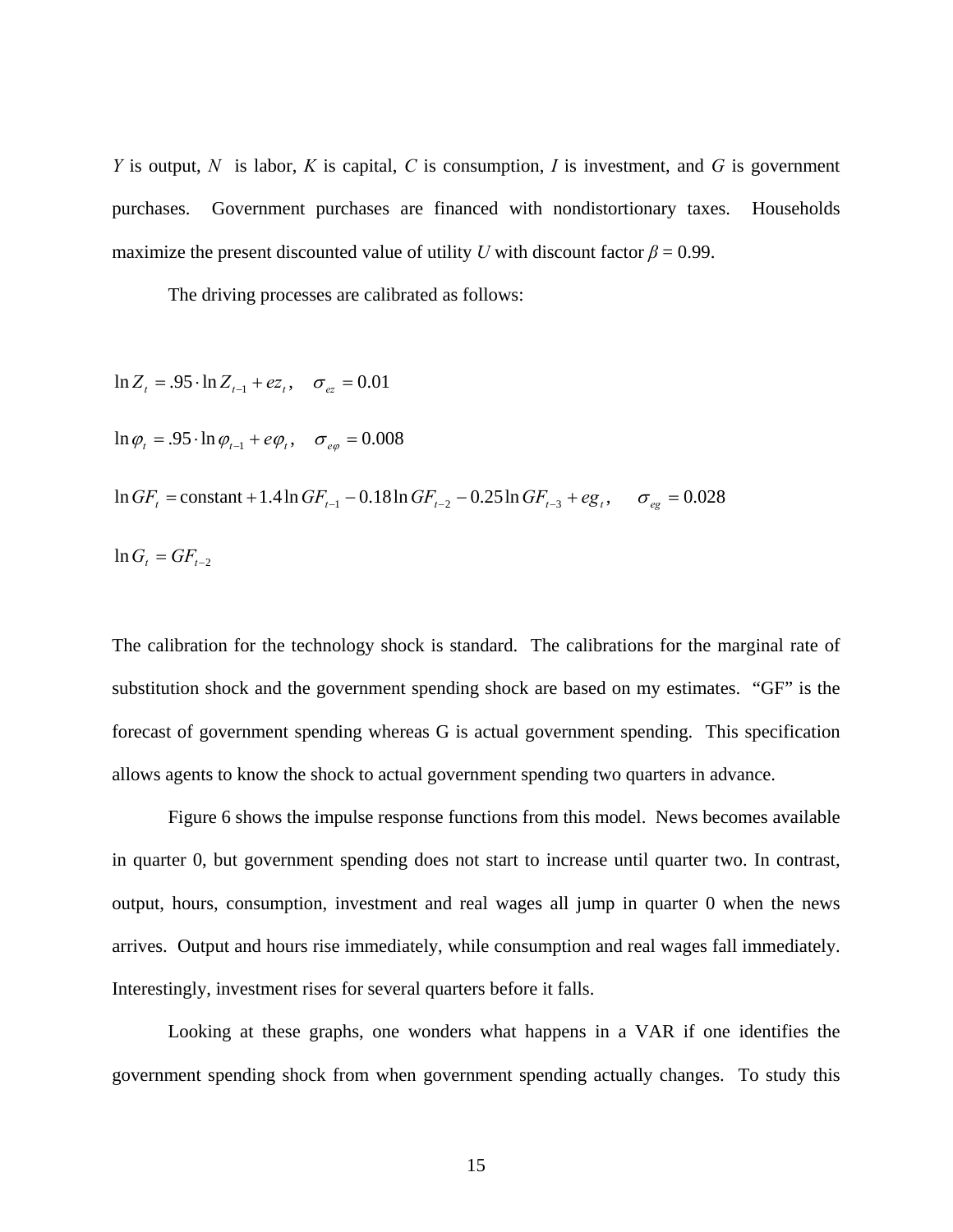*Y* is output, *N* is labor, *K* is capital, *C* is consumption, *I* is investment, and *G* is government purchases. Government purchases are financed with nondistortionary taxes. Households maximize the present discounted value of utility *U* with discount factor  $\beta = 0.99$ .

The driving processes are calibrated as follows:

 $\ln G_t = G F_{t-2}$  $\ln G F_t = \text{constant} + 1.4 \ln G F_{t-1} - 0.18 \ln G F_{t-2} - 0.25 \ln G F_{t-3} + eg_t, \quad \sigma_{eg} = 0.028$  $\ln \varphi_t = .95 \cdot \ln \varphi_{t-1} + e \varphi_t, \quad \sigma_{e\varphi} = 0.008$  $\ln Z_t = .95 \cdot \ln Z_{t-1} + ez_t, \quad \sigma_{ez} = 0.01$ 

The calibration for the technology shock is standard. The calibrations for the marginal rate of substitution shock and the government spending shock are based on my estimates. "GF" is the forecast of government spending whereas G is actual government spending. This specification allows agents to know the shock to actual government spending two quarters in advance.

Figure 6 shows the impulse response functions from this model. News becomes available in quarter 0, but government spending does not start to increase until quarter two. In contrast, output, hours, consumption, investment and real wages all jump in quarter 0 when the news arrives. Output and hours rise immediately, while consumption and real wages fall immediately. Interestingly, investment rises for several quarters before it falls.

Looking at these graphs, one wonders what happens in a VAR if one identifies the government spending shock from when government spending actually changes. To study this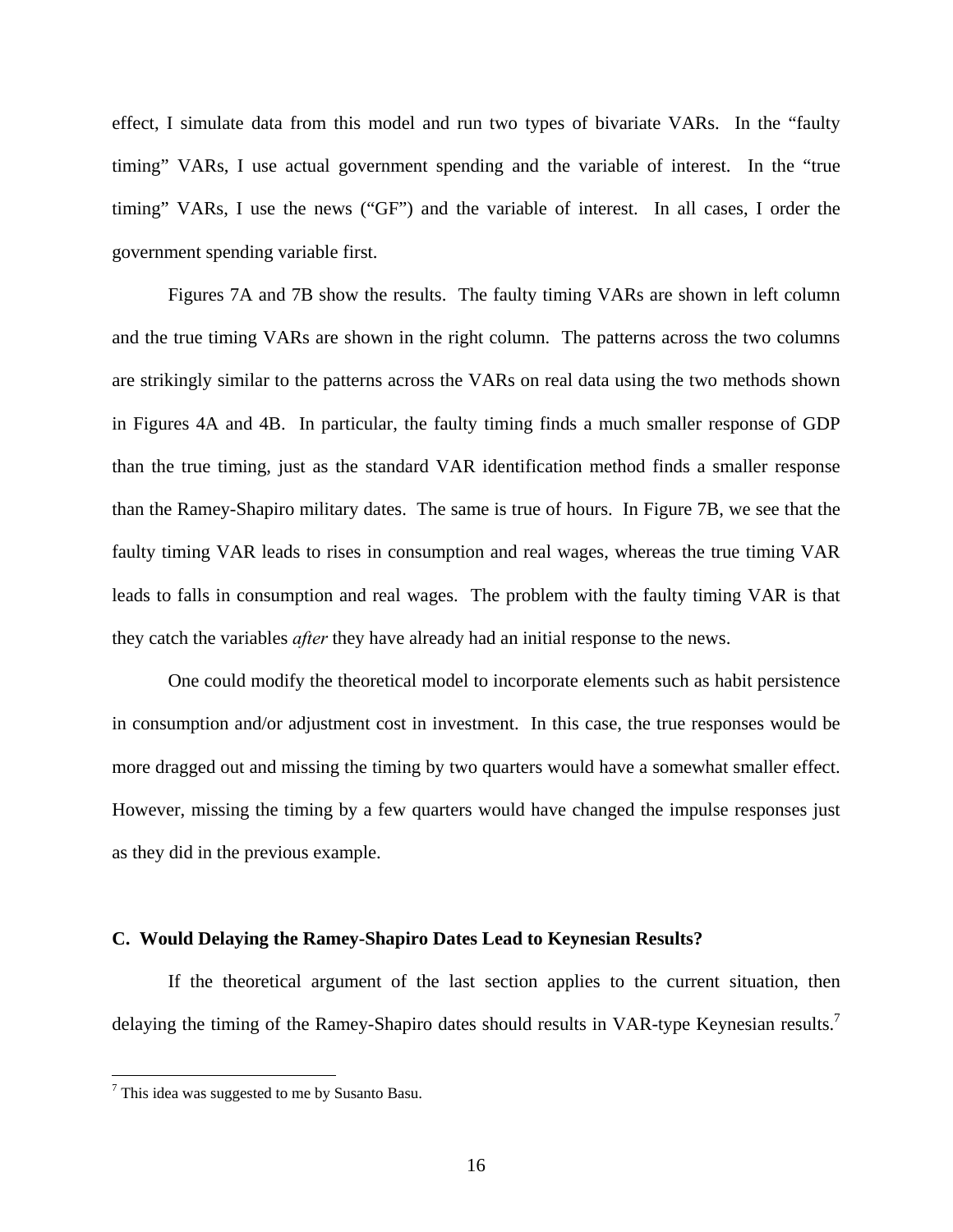effect, I simulate data from this model and run two types of bivariate VARs. In the "faulty timing" VARs, I use actual government spending and the variable of interest. In the "true timing" VARs, I use the news ("GF") and the variable of interest. In all cases, I order the government spending variable first.

Figures 7A and 7B show the results. The faulty timing VARs are shown in left column and the true timing VARs are shown in the right column. The patterns across the two columns are strikingly similar to the patterns across the VARs on real data using the two methods shown in Figures 4A and 4B. In particular, the faulty timing finds a much smaller response of GDP than the true timing, just as the standard VAR identification method finds a smaller response than the Ramey-Shapiro military dates. The same is true of hours. In Figure 7B, we see that the faulty timing VAR leads to rises in consumption and real wages, whereas the true timing VAR leads to falls in consumption and real wages. The problem with the faulty timing VAR is that they catch the variables *after* they have already had an initial response to the news.

One could modify the theoretical model to incorporate elements such as habit persistence in consumption and/or adjustment cost in investment. In this case, the true responses would be more dragged out and missing the timing by two quarters would have a somewhat smaller effect. However, missing the timing by a few quarters would have changed the impulse responses just as they did in the previous example.

### **C. Would Delaying the Ramey-Shapiro Dates Lead to Keynesian Results?**

If the theoretical argument of the last section applies to the current situation, then delaying the timing of the Ramey-Shapiro dates should results in VAR-type Keynesian results.<sup>7</sup>

<span id="page-16-0"></span> $\frac{1}{7}$  $7$  This idea was suggested to me by Susanto Basu.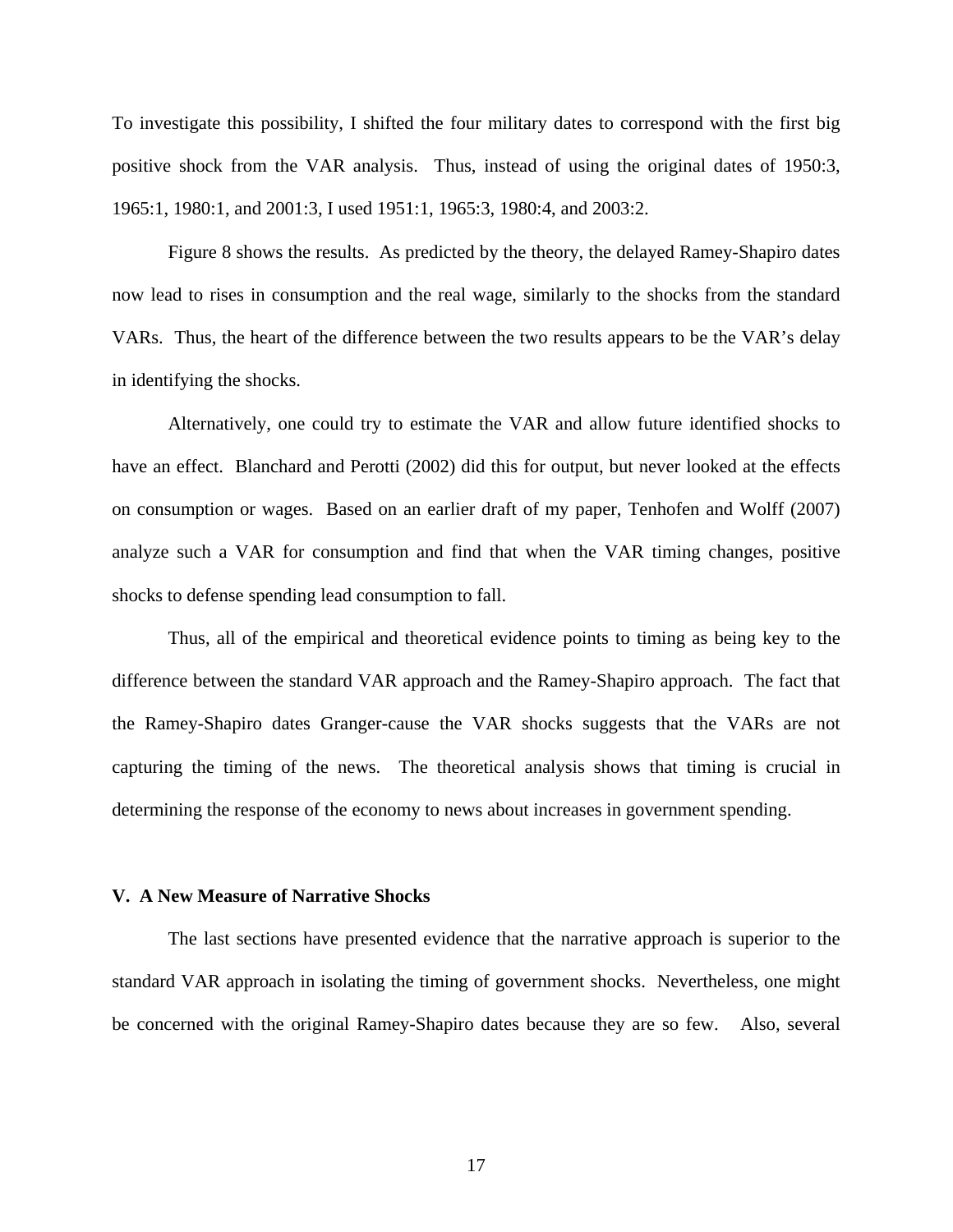To investigate this possibility, I shifted the four military dates to correspond with the first big positive shock from the VAR analysis. Thus, instead of using the original dates of 1950:3, 1965:1, 1980:1, and 2001:3, I used 1951:1, 1965:3, 1980:4, and 2003:2.

Figure 8 shows the results. As predicted by the theory, the delayed Ramey-Shapiro dates now lead to rises in consumption and the real wage, similarly to the shocks from the standard VARs. Thus, the heart of the difference between the two results appears to be the VAR's delay in identifying the shocks.

Alternatively, one could try to estimate the VAR and allow future identified shocks to have an effect. Blanchard and Perotti (2002) did this for output, but never looked at the effects on consumption or wages. Based on an earlier draft of my paper, Tenhofen and Wolff (2007) analyze such a VAR for consumption and find that when the VAR timing changes, positive shocks to defense spending lead consumption to fall.

Thus, all of the empirical and theoretical evidence points to timing as being key to the difference between the standard VAR approach and the Ramey-Shapiro approach. The fact that the Ramey-Shapiro dates Granger-cause the VAR shocks suggests that the VARs are not capturing the timing of the news. The theoretical analysis shows that timing is crucial in determining the response of the economy to news about increases in government spending.

#### **V. A New Measure of Narrative Shocks**

The last sections have presented evidence that the narrative approach is superior to the standard VAR approach in isolating the timing of government shocks. Nevertheless, one might be concerned with the original Ramey-Shapiro dates because they are so few. Also, several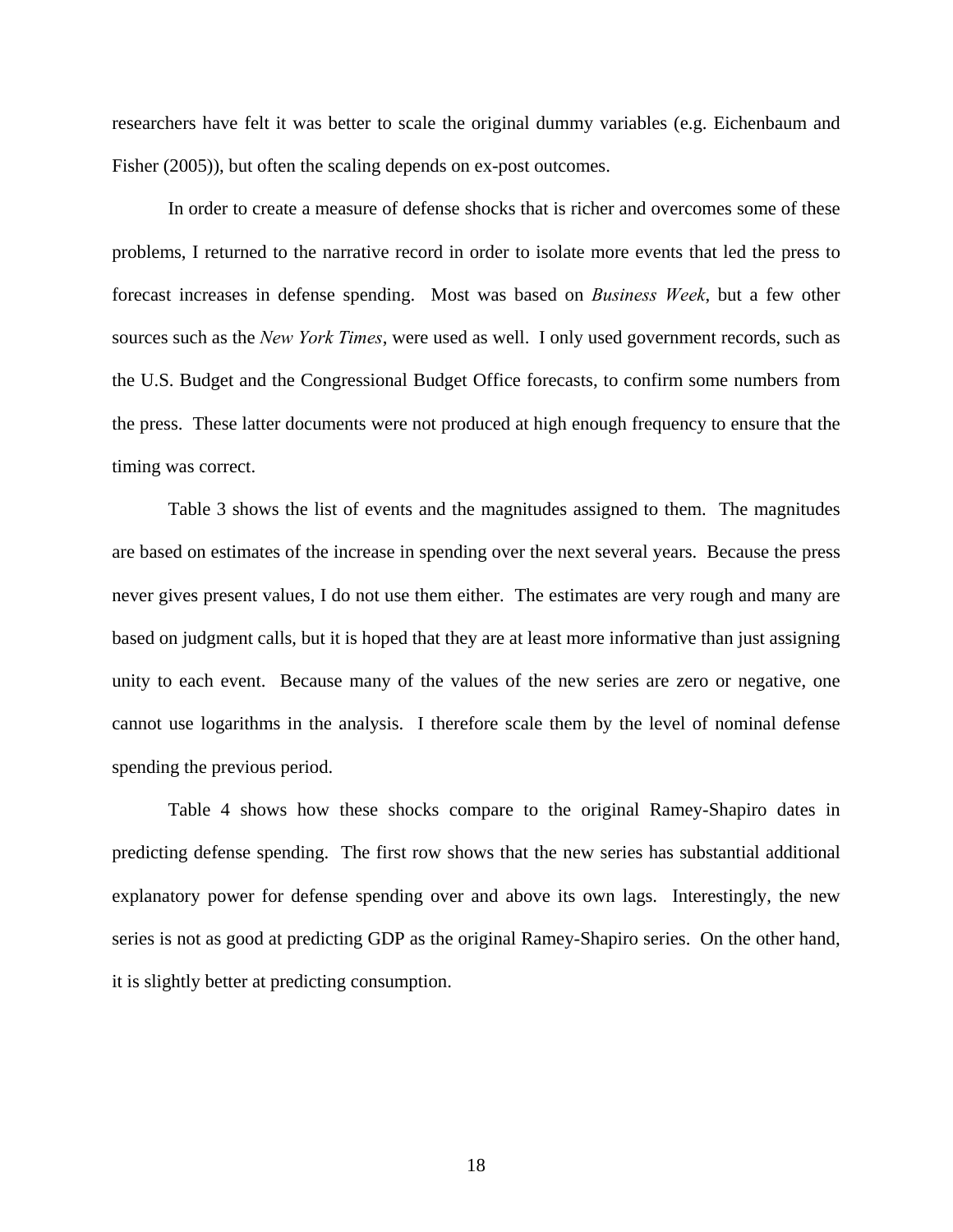researchers have felt it was better to scale the original dummy variables (e.g. Eichenbaum and Fisher (2005)), but often the scaling depends on ex-post outcomes.

In order to create a measure of defense shocks that is richer and overcomes some of these problems, I returned to the narrative record in order to isolate more events that led the press to forecast increases in defense spending. Most was based on *Business Week*, but a few other sources such as the *New York Times*, were used as well. I only used government records, such as the U.S. Budget and the Congressional Budget Office forecasts, to confirm some numbers from the press. These latter documents were not produced at high enough frequency to ensure that the timing was correct.

Table 3 shows the list of events and the magnitudes assigned to them. The magnitudes are based on estimates of the increase in spending over the next several years. Because the press never gives present values, I do not use them either. The estimates are very rough and many are based on judgment calls, but it is hoped that they are at least more informative than just assigning unity to each event. Because many of the values of the new series are zero or negative, one cannot use logarithms in the analysis. I therefore scale them by the level of nominal defense spending the previous period.

Table 4 shows how these shocks compare to the original Ramey-Shapiro dates in predicting defense spending. The first row shows that the new series has substantial additional explanatory power for defense spending over and above its own lags. Interestingly, the new series is not as good at predicting GDP as the original Ramey-Shapiro series. On the other hand, it is slightly better at predicting consumption.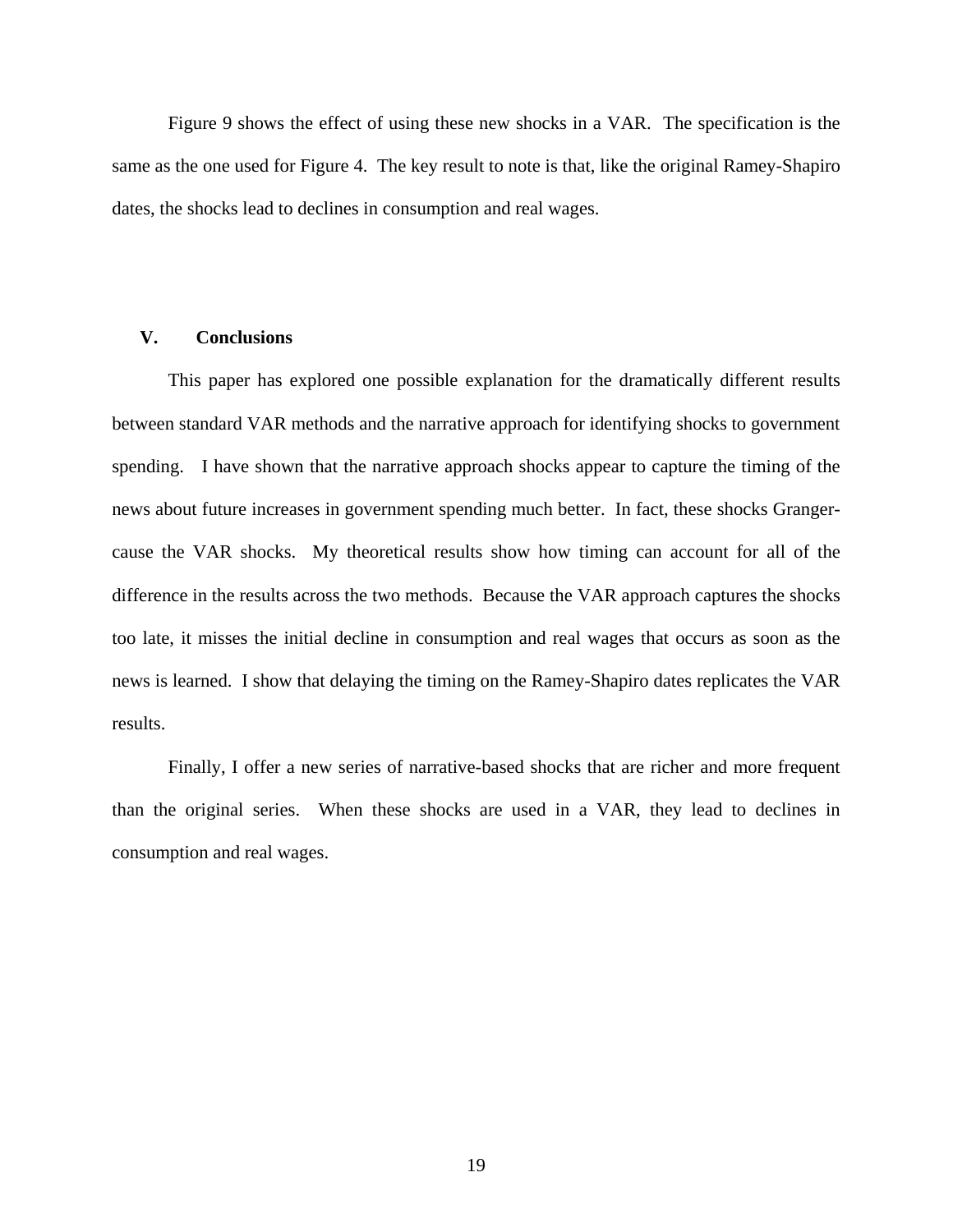Figure 9 shows the effect of using these new shocks in a VAR. The specification is the same as the one used for Figure 4. The key result to note is that, like the original Ramey-Shapiro dates, the shocks lead to declines in consumption and real wages.

# **V. Conclusions**

This paper has explored one possible explanation for the dramatically different results between standard VAR methods and the narrative approach for identifying shocks to government spending. I have shown that the narrative approach shocks appear to capture the timing of the news about future increases in government spending much better. In fact, these shocks Grangercause the VAR shocks. My theoretical results show how timing can account for all of the difference in the results across the two methods. Because the VAR approach captures the shocks too late, it misses the initial decline in consumption and real wages that occurs as soon as the news is learned. I show that delaying the timing on the Ramey-Shapiro dates replicates the VAR results.

Finally, I offer a new series of narrative-based shocks that are richer and more frequent than the original series. When these shocks are used in a VAR, they lead to declines in consumption and real wages.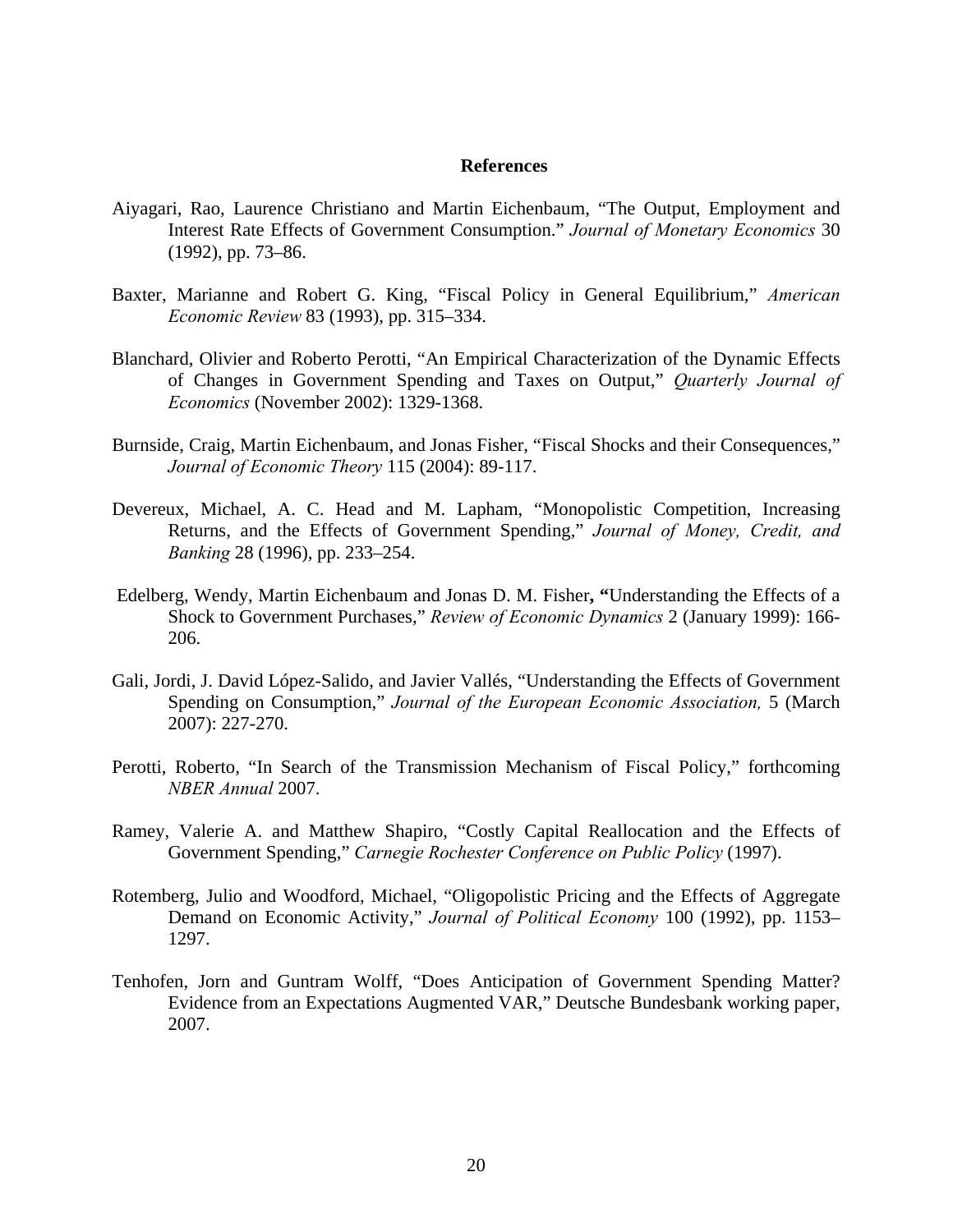# **References**

- Aiyagari, Rao, Laurence Christiano and Martin Eichenbaum, "The Output, Employment and Interest Rate Effects of Government Consumption." *Journal of Monetary Economics* 30 (1992), pp. 73–86.
- Baxter, Marianne and Robert G. King, "Fiscal Policy in General Equilibrium," *American Economic Review* 83 (1993), pp. 315–334.
- Blanchard, Olivier and Roberto Perotti, "An Empirical Characterization of the Dynamic Effects of Changes in Government Spending and Taxes on Output," *Quarterly Journal of Economics* (November 2002): 1329-1368.
- Burnside, Craig, Martin Eichenbaum, and Jonas Fisher, "Fiscal Shocks and their Consequences," *Journal of Economic Theory* 115 (2004): 89-117.
- Devereux, Michael, A. C. Head and M. Lapham, "Monopolistic Competition, Increasing Returns, and the Effects of Government Spending," *Journal of Money, Credit, and Banking* 28 (1996), pp. 233–254.
- Edelberg, Wendy, Martin Eichenbaum and Jonas D. M. Fisher**, "**Understanding the Effects of a Shock to Government Purchases," *Review of Economic Dynamics* 2 (January 1999): 166- 206.
- Gali, Jordi, J. David López-Salido, and Javier Vallés, "Understanding the Effects of Government Spending on Consumption," *Journal of the European Economic Association,* 5 (March 2007): 227-270.
- Perotti, Roberto, "In Search of the Transmission Mechanism of Fiscal Policy," forthcoming *NBER Annual* 2007.
- Ramey, Valerie A. and Matthew Shapiro, "Costly Capital Reallocation and the Effects of Government Spending," *Carnegie Rochester Conference on Public Policy* (1997).
- Rotemberg, Julio and Woodford, Michael, "Oligopolistic Pricing and the Effects of Aggregate Demand on Economic Activity," *Journal of Political Economy* 100 (1992), pp. 1153– 1297.
- Tenhofen, Jorn and Guntram Wolff, "Does Anticipation of Government Spending Matter? Evidence from an Expectations Augmented VAR," Deutsche Bundesbank working paper, 2007.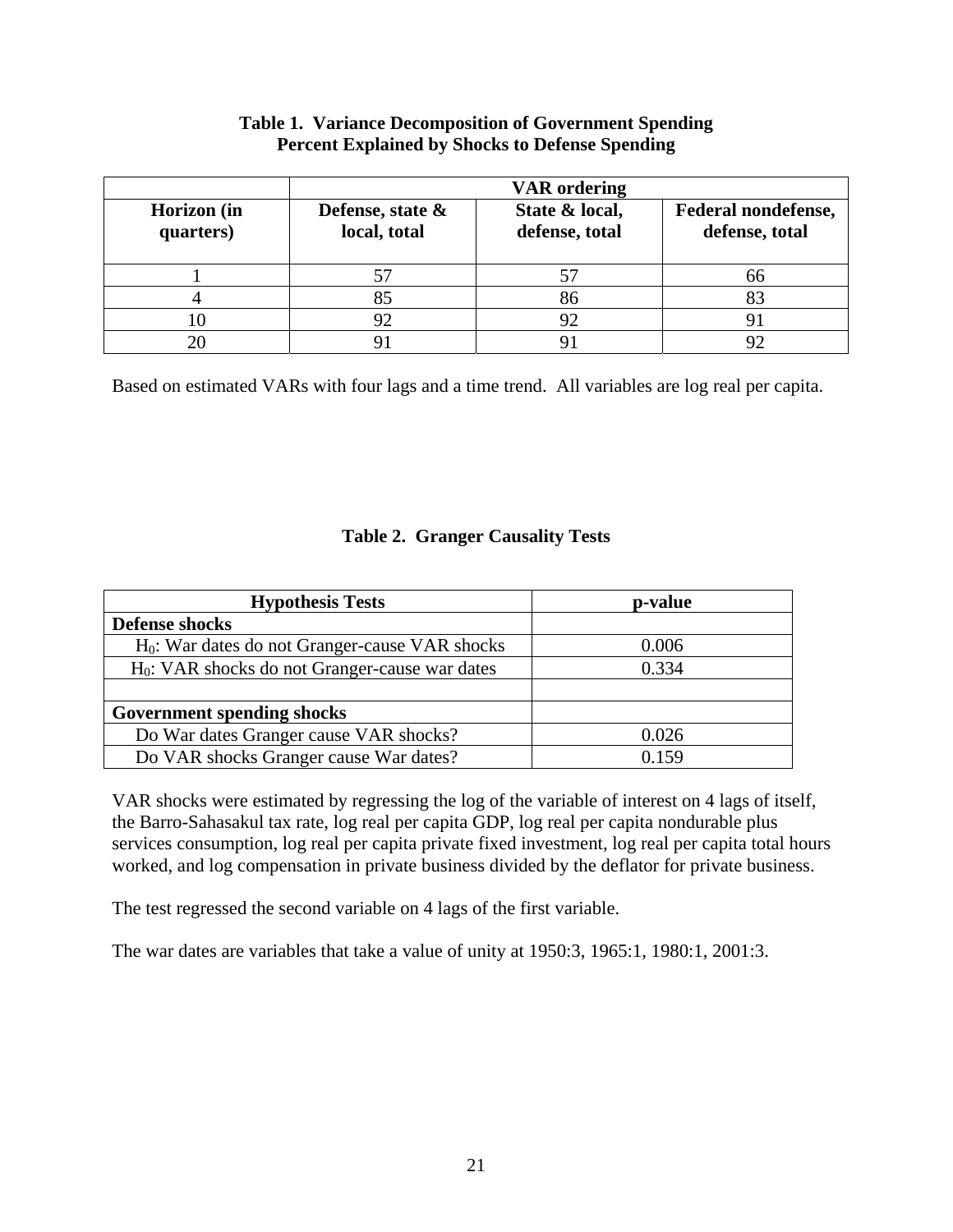# **Table 1. Variance Decomposition of Government Spending Percent Explained by Shocks to Defense Spending**

|                          | <b>VAR</b> ordering              |                                  |                                       |
|--------------------------|----------------------------------|----------------------------------|---------------------------------------|
| Horizon (in<br>quarters) | Defense, state &<br>local, total | State & local,<br>defense, total | Federal nondefense,<br>defense, total |
|                          |                                  |                                  |                                       |
|                          | 85                               | 86                               |                                       |
|                          | 92                               | 92                               |                                       |
|                          |                                  |                                  |                                       |

Based on estimated VARs with four lags and a time trend. All variables are log real per capita.

# **Table 2. Granger Causality Tests**

| <b>Hypothesis Tests</b>                           | p-value |
|---------------------------------------------------|---------|
| <b>Defense shocks</b>                             |         |
| $H_0$ : War dates do not Granger-cause VAR shocks | 0.006   |
| $H_0$ : VAR shocks do not Granger-cause war dates | 0.334   |
|                                                   |         |
| <b>Government spending shocks</b>                 |         |
| Do War dates Granger cause VAR shocks?            | 0.026   |
| Do VAR shocks Granger cause War dates?            | 0.159   |

VAR shocks were estimated by regressing the log of the variable of interest on 4 lags of itself, the Barro-Sahasakul tax rate, log real per capita GDP, log real per capita nondurable plus services consumption, log real per capita private fixed investment, log real per capita total hours worked, and log compensation in private business divided by the deflator for private business.

The test regressed the second variable on 4 lags of the first variable.

The war dates are variables that take a value of unity at 1950:3, 1965:1, 1980:1, 2001:3.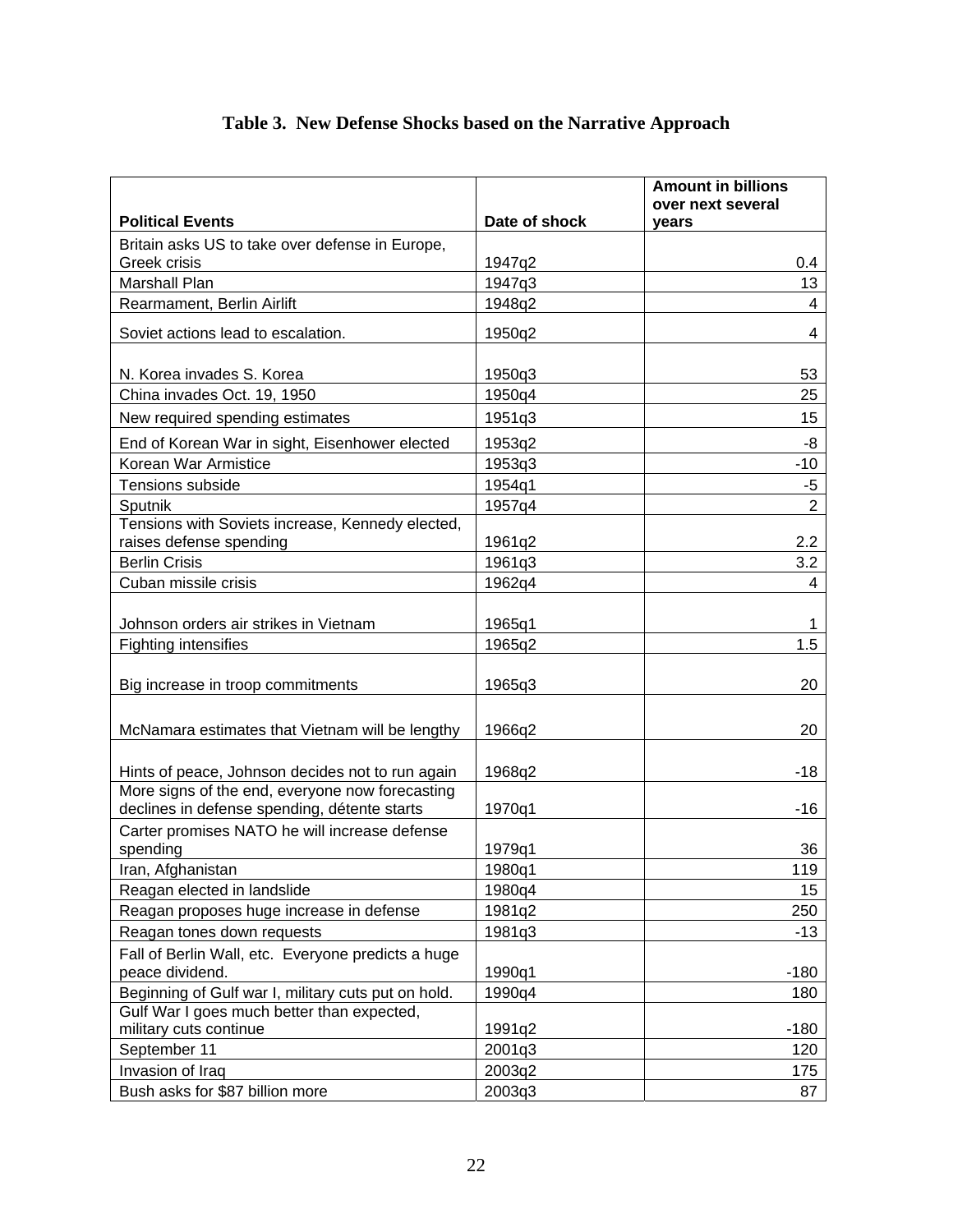# **Table 3. New Defense Shocks based on the Narrative Approach**

| <b>Political Events</b><br>Date of shock<br>years<br>Britain asks US to take over defense in Europe,<br>Greek crisis<br>1947q2<br>0.4<br><b>Marshall Plan</b><br>1947q3<br>13<br>1948q2<br>Rearmament, Berlin Airlift<br>4<br>Soviet actions lead to escalation.<br>1950q2<br>4<br>N. Korea invades S. Korea<br>1950q3<br>53<br>China invades Oct. 19, 1950<br>1950q4<br>25<br>1951q3<br>15<br>New required spending estimates<br>End of Korean War in sight, Eisenhower elected<br>1953q2<br>-8<br>Korean War Armistice<br>1953q3<br>$-10$<br>Tensions subside<br>1954q1<br>$-5$<br>$\overline{2}$<br>Sputnik<br>1957q4<br>Tensions with Soviets increase, Kennedy elected,<br>raises defense spending<br>2.2<br>1961q2<br><b>Berlin Crisis</b><br>3.2<br>1961q3<br>Cuban missile crisis<br>1962q4<br>4<br>Johnson orders air strikes in Vietnam<br>1965q1<br>1<br><b>Fighting intensifies</b><br>1.5<br>1965q2<br>Big increase in troop commitments<br>20<br>1965q3<br>McNamara estimates that Vietnam will be lengthy<br>1966q2<br>20<br>Hints of peace, Johnson decides not to run again<br>1968q2<br>-18<br>More signs of the end, everyone now forecasting<br>declines in defense spending, détente starts<br>1970q1<br>$-16$<br>Carter promises NATO he will increase defense<br>spending<br>1979q1<br>36<br>1980q1<br>119<br>Iran, Afghanistan<br>Reagan elected in landslide<br>1980q4<br>15<br>Reagan proposes huge increase in defense<br>1981q2<br>250<br>Reagan tones down requests<br>1981q3<br>$-13$<br>Fall of Berlin Wall, etc. Everyone predicts a huge<br>peace dividend.<br>1990q1<br>$-180$<br>Beginning of Gulf war I, military cuts put on hold.<br>1990q4<br>180<br>Gulf War I goes much better than expected,<br>military cuts continue<br>1991q2<br>$-180$<br>September 11<br>2001q3<br>120<br>Invasion of Iraq<br>2003q2<br>175<br>Bush asks for \$87 billion more<br>2003q3<br>87 |  | <b>Amount in billions</b><br>over next several |
|---------------------------------------------------------------------------------------------------------------------------------------------------------------------------------------------------------------------------------------------------------------------------------------------------------------------------------------------------------------------------------------------------------------------------------------------------------------------------------------------------------------------------------------------------------------------------------------------------------------------------------------------------------------------------------------------------------------------------------------------------------------------------------------------------------------------------------------------------------------------------------------------------------------------------------------------------------------------------------------------------------------------------------------------------------------------------------------------------------------------------------------------------------------------------------------------------------------------------------------------------------------------------------------------------------------------------------------------------------------------------------------------------------------------------------------------------------------------------------------------------------------------------------------------------------------------------------------------------------------------------------------------------------------------------------------------------------------------------------------------------------------------------------------------------------------------------------------------------------------------------------------------------------------|--|------------------------------------------------|
|                                                                                                                                                                                                                                                                                                                                                                                                                                                                                                                                                                                                                                                                                                                                                                                                                                                                                                                                                                                                                                                                                                                                                                                                                                                                                                                                                                                                                                                                                                                                                                                                                                                                                                                                                                                                                                                                                                               |  |                                                |
|                                                                                                                                                                                                                                                                                                                                                                                                                                                                                                                                                                                                                                                                                                                                                                                                                                                                                                                                                                                                                                                                                                                                                                                                                                                                                                                                                                                                                                                                                                                                                                                                                                                                                                                                                                                                                                                                                                               |  |                                                |
|                                                                                                                                                                                                                                                                                                                                                                                                                                                                                                                                                                                                                                                                                                                                                                                                                                                                                                                                                                                                                                                                                                                                                                                                                                                                                                                                                                                                                                                                                                                                                                                                                                                                                                                                                                                                                                                                                                               |  |                                                |
|                                                                                                                                                                                                                                                                                                                                                                                                                                                                                                                                                                                                                                                                                                                                                                                                                                                                                                                                                                                                                                                                                                                                                                                                                                                                                                                                                                                                                                                                                                                                                                                                                                                                                                                                                                                                                                                                                                               |  |                                                |
|                                                                                                                                                                                                                                                                                                                                                                                                                                                                                                                                                                                                                                                                                                                                                                                                                                                                                                                                                                                                                                                                                                                                                                                                                                                                                                                                                                                                                                                                                                                                                                                                                                                                                                                                                                                                                                                                                                               |  |                                                |
|                                                                                                                                                                                                                                                                                                                                                                                                                                                                                                                                                                                                                                                                                                                                                                                                                                                                                                                                                                                                                                                                                                                                                                                                                                                                                                                                                                                                                                                                                                                                                                                                                                                                                                                                                                                                                                                                                                               |  |                                                |
|                                                                                                                                                                                                                                                                                                                                                                                                                                                                                                                                                                                                                                                                                                                                                                                                                                                                                                                                                                                                                                                                                                                                                                                                                                                                                                                                                                                                                                                                                                                                                                                                                                                                                                                                                                                                                                                                                                               |  |                                                |
|                                                                                                                                                                                                                                                                                                                                                                                                                                                                                                                                                                                                                                                                                                                                                                                                                                                                                                                                                                                                                                                                                                                                                                                                                                                                                                                                                                                                                                                                                                                                                                                                                                                                                                                                                                                                                                                                                                               |  |                                                |
|                                                                                                                                                                                                                                                                                                                                                                                                                                                                                                                                                                                                                                                                                                                                                                                                                                                                                                                                                                                                                                                                                                                                                                                                                                                                                                                                                                                                                                                                                                                                                                                                                                                                                                                                                                                                                                                                                                               |  |                                                |
|                                                                                                                                                                                                                                                                                                                                                                                                                                                                                                                                                                                                                                                                                                                                                                                                                                                                                                                                                                                                                                                                                                                                                                                                                                                                                                                                                                                                                                                                                                                                                                                                                                                                                                                                                                                                                                                                                                               |  |                                                |
|                                                                                                                                                                                                                                                                                                                                                                                                                                                                                                                                                                                                                                                                                                                                                                                                                                                                                                                                                                                                                                                                                                                                                                                                                                                                                                                                                                                                                                                                                                                                                                                                                                                                                                                                                                                                                                                                                                               |  |                                                |
|                                                                                                                                                                                                                                                                                                                                                                                                                                                                                                                                                                                                                                                                                                                                                                                                                                                                                                                                                                                                                                                                                                                                                                                                                                                                                                                                                                                                                                                                                                                                                                                                                                                                                                                                                                                                                                                                                                               |  |                                                |
|                                                                                                                                                                                                                                                                                                                                                                                                                                                                                                                                                                                                                                                                                                                                                                                                                                                                                                                                                                                                                                                                                                                                                                                                                                                                                                                                                                                                                                                                                                                                                                                                                                                                                                                                                                                                                                                                                                               |  |                                                |
|                                                                                                                                                                                                                                                                                                                                                                                                                                                                                                                                                                                                                                                                                                                                                                                                                                                                                                                                                                                                                                                                                                                                                                                                                                                                                                                                                                                                                                                                                                                                                                                                                                                                                                                                                                                                                                                                                                               |  |                                                |
|                                                                                                                                                                                                                                                                                                                                                                                                                                                                                                                                                                                                                                                                                                                                                                                                                                                                                                                                                                                                                                                                                                                                                                                                                                                                                                                                                                                                                                                                                                                                                                                                                                                                                                                                                                                                                                                                                                               |  |                                                |
|                                                                                                                                                                                                                                                                                                                                                                                                                                                                                                                                                                                                                                                                                                                                                                                                                                                                                                                                                                                                                                                                                                                                                                                                                                                                                                                                                                                                                                                                                                                                                                                                                                                                                                                                                                                                                                                                                                               |  |                                                |
|                                                                                                                                                                                                                                                                                                                                                                                                                                                                                                                                                                                                                                                                                                                                                                                                                                                                                                                                                                                                                                                                                                                                                                                                                                                                                                                                                                                                                                                                                                                                                                                                                                                                                                                                                                                                                                                                                                               |  |                                                |
|                                                                                                                                                                                                                                                                                                                                                                                                                                                                                                                                                                                                                                                                                                                                                                                                                                                                                                                                                                                                                                                                                                                                                                                                                                                                                                                                                                                                                                                                                                                                                                                                                                                                                                                                                                                                                                                                                                               |  |                                                |
|                                                                                                                                                                                                                                                                                                                                                                                                                                                                                                                                                                                                                                                                                                                                                                                                                                                                                                                                                                                                                                                                                                                                                                                                                                                                                                                                                                                                                                                                                                                                                                                                                                                                                                                                                                                                                                                                                                               |  |                                                |
|                                                                                                                                                                                                                                                                                                                                                                                                                                                                                                                                                                                                                                                                                                                                                                                                                                                                                                                                                                                                                                                                                                                                                                                                                                                                                                                                                                                                                                                                                                                                                                                                                                                                                                                                                                                                                                                                                                               |  |                                                |
|                                                                                                                                                                                                                                                                                                                                                                                                                                                                                                                                                                                                                                                                                                                                                                                                                                                                                                                                                                                                                                                                                                                                                                                                                                                                                                                                                                                                                                                                                                                                                                                                                                                                                                                                                                                                                                                                                                               |  |                                                |
|                                                                                                                                                                                                                                                                                                                                                                                                                                                                                                                                                                                                                                                                                                                                                                                                                                                                                                                                                                                                                                                                                                                                                                                                                                                                                                                                                                                                                                                                                                                                                                                                                                                                                                                                                                                                                                                                                                               |  |                                                |
|                                                                                                                                                                                                                                                                                                                                                                                                                                                                                                                                                                                                                                                                                                                                                                                                                                                                                                                                                                                                                                                                                                                                                                                                                                                                                                                                                                                                                                                                                                                                                                                                                                                                                                                                                                                                                                                                                                               |  |                                                |
|                                                                                                                                                                                                                                                                                                                                                                                                                                                                                                                                                                                                                                                                                                                                                                                                                                                                                                                                                                                                                                                                                                                                                                                                                                                                                                                                                                                                                                                                                                                                                                                                                                                                                                                                                                                                                                                                                                               |  |                                                |
|                                                                                                                                                                                                                                                                                                                                                                                                                                                                                                                                                                                                                                                                                                                                                                                                                                                                                                                                                                                                                                                                                                                                                                                                                                                                                                                                                                                                                                                                                                                                                                                                                                                                                                                                                                                                                                                                                                               |  |                                                |
|                                                                                                                                                                                                                                                                                                                                                                                                                                                                                                                                                                                                                                                                                                                                                                                                                                                                                                                                                                                                                                                                                                                                                                                                                                                                                                                                                                                                                                                                                                                                                                                                                                                                                                                                                                                                                                                                                                               |  |                                                |
|                                                                                                                                                                                                                                                                                                                                                                                                                                                                                                                                                                                                                                                                                                                                                                                                                                                                                                                                                                                                                                                                                                                                                                                                                                                                                                                                                                                                                                                                                                                                                                                                                                                                                                                                                                                                                                                                                                               |  |                                                |
|                                                                                                                                                                                                                                                                                                                                                                                                                                                                                                                                                                                                                                                                                                                                                                                                                                                                                                                                                                                                                                                                                                                                                                                                                                                                                                                                                                                                                                                                                                                                                                                                                                                                                                                                                                                                                                                                                                               |  |                                                |
|                                                                                                                                                                                                                                                                                                                                                                                                                                                                                                                                                                                                                                                                                                                                                                                                                                                                                                                                                                                                                                                                                                                                                                                                                                                                                                                                                                                                                                                                                                                                                                                                                                                                                                                                                                                                                                                                                                               |  |                                                |
|                                                                                                                                                                                                                                                                                                                                                                                                                                                                                                                                                                                                                                                                                                                                                                                                                                                                                                                                                                                                                                                                                                                                                                                                                                                                                                                                                                                                                                                                                                                                                                                                                                                                                                                                                                                                                                                                                                               |  |                                                |
|                                                                                                                                                                                                                                                                                                                                                                                                                                                                                                                                                                                                                                                                                                                                                                                                                                                                                                                                                                                                                                                                                                                                                                                                                                                                                                                                                                                                                                                                                                                                                                                                                                                                                                                                                                                                                                                                                                               |  |                                                |
|                                                                                                                                                                                                                                                                                                                                                                                                                                                                                                                                                                                                                                                                                                                                                                                                                                                                                                                                                                                                                                                                                                                                                                                                                                                                                                                                                                                                                                                                                                                                                                                                                                                                                                                                                                                                                                                                                                               |  |                                                |
|                                                                                                                                                                                                                                                                                                                                                                                                                                                                                                                                                                                                                                                                                                                                                                                                                                                                                                                                                                                                                                                                                                                                                                                                                                                                                                                                                                                                                                                                                                                                                                                                                                                                                                                                                                                                                                                                                                               |  |                                                |
|                                                                                                                                                                                                                                                                                                                                                                                                                                                                                                                                                                                                                                                                                                                                                                                                                                                                                                                                                                                                                                                                                                                                                                                                                                                                                                                                                                                                                                                                                                                                                                                                                                                                                                                                                                                                                                                                                                               |  |                                                |
|                                                                                                                                                                                                                                                                                                                                                                                                                                                                                                                                                                                                                                                                                                                                                                                                                                                                                                                                                                                                                                                                                                                                                                                                                                                                                                                                                                                                                                                                                                                                                                                                                                                                                                                                                                                                                                                                                                               |  |                                                |
|                                                                                                                                                                                                                                                                                                                                                                                                                                                                                                                                                                                                                                                                                                                                                                                                                                                                                                                                                                                                                                                                                                                                                                                                                                                                                                                                                                                                                                                                                                                                                                                                                                                                                                                                                                                                                                                                                                               |  |                                                |
|                                                                                                                                                                                                                                                                                                                                                                                                                                                                                                                                                                                                                                                                                                                                                                                                                                                                                                                                                                                                                                                                                                                                                                                                                                                                                                                                                                                                                                                                                                                                                                                                                                                                                                                                                                                                                                                                                                               |  |                                                |
|                                                                                                                                                                                                                                                                                                                                                                                                                                                                                                                                                                                                                                                                                                                                                                                                                                                                                                                                                                                                                                                                                                                                                                                                                                                                                                                                                                                                                                                                                                                                                                                                                                                                                                                                                                                                                                                                                                               |  |                                                |
|                                                                                                                                                                                                                                                                                                                                                                                                                                                                                                                                                                                                                                                                                                                                                                                                                                                                                                                                                                                                                                                                                                                                                                                                                                                                                                                                                                                                                                                                                                                                                                                                                                                                                                                                                                                                                                                                                                               |  |                                                |
|                                                                                                                                                                                                                                                                                                                                                                                                                                                                                                                                                                                                                                                                                                                                                                                                                                                                                                                                                                                                                                                                                                                                                                                                                                                                                                                                                                                                                                                                                                                                                                                                                                                                                                                                                                                                                                                                                                               |  |                                                |
|                                                                                                                                                                                                                                                                                                                                                                                                                                                                                                                                                                                                                                                                                                                                                                                                                                                                                                                                                                                                                                                                                                                                                                                                                                                                                                                                                                                                                                                                                                                                                                                                                                                                                                                                                                                                                                                                                                               |  |                                                |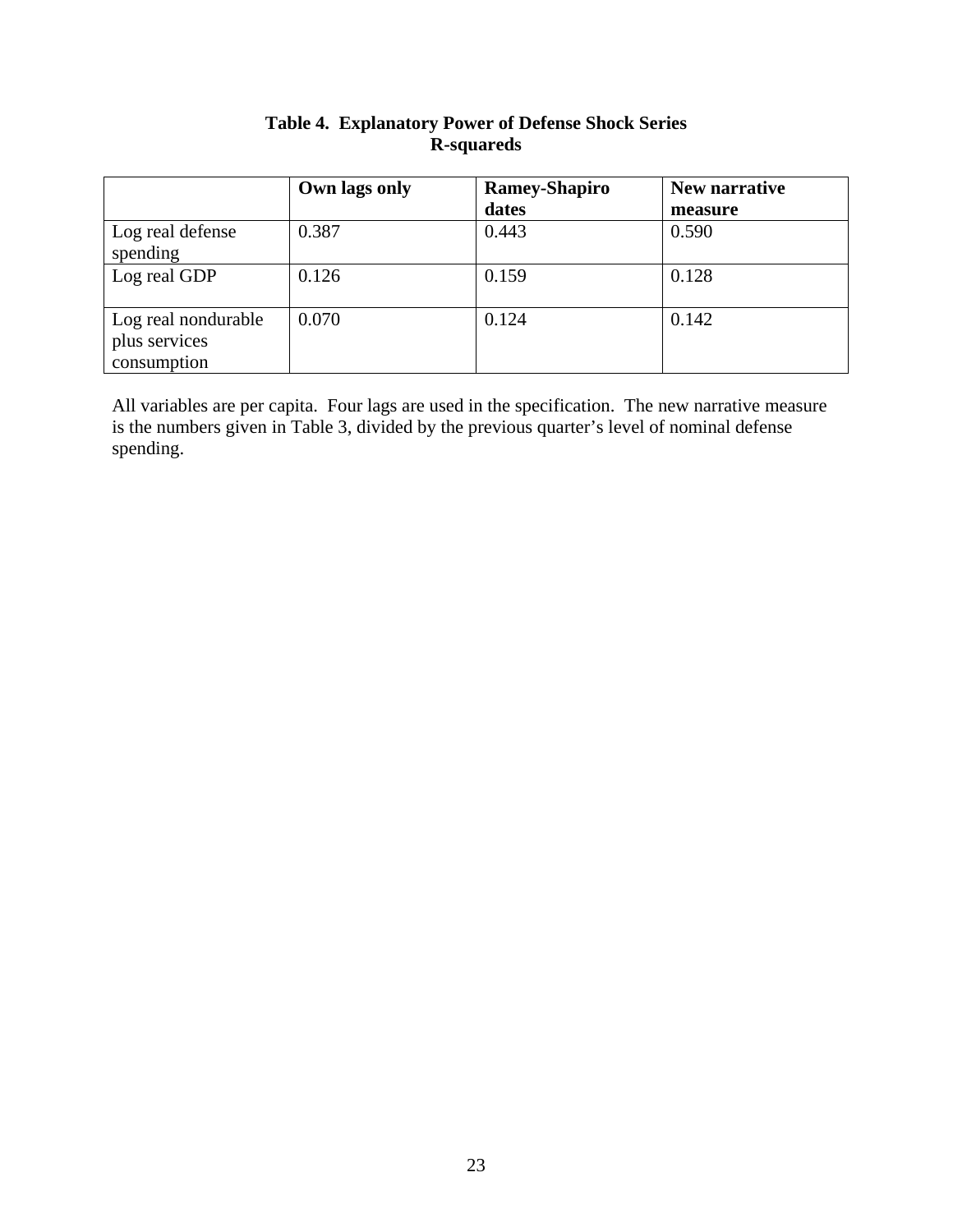|                                                     | Own lags only | <b>Ramey-Shapiro</b> | New narrative |
|-----------------------------------------------------|---------------|----------------------|---------------|
|                                                     |               | dates                | measure       |
| Log real defense<br>spending                        | 0.387         | 0.443                | 0.590         |
| Log real GDP                                        | 0.126         | 0.159                | 0.128         |
| Log real nondurable<br>plus services<br>consumption | 0.070         | 0.124                | 0.142         |

# **Table 4. Explanatory Power of Defense Shock Series R-squareds**

All variables are per capita. Four lags are used in the specification. The new narrative measure is the numbers given in Table 3, divided by the previous quarter's level of nominal defense spending.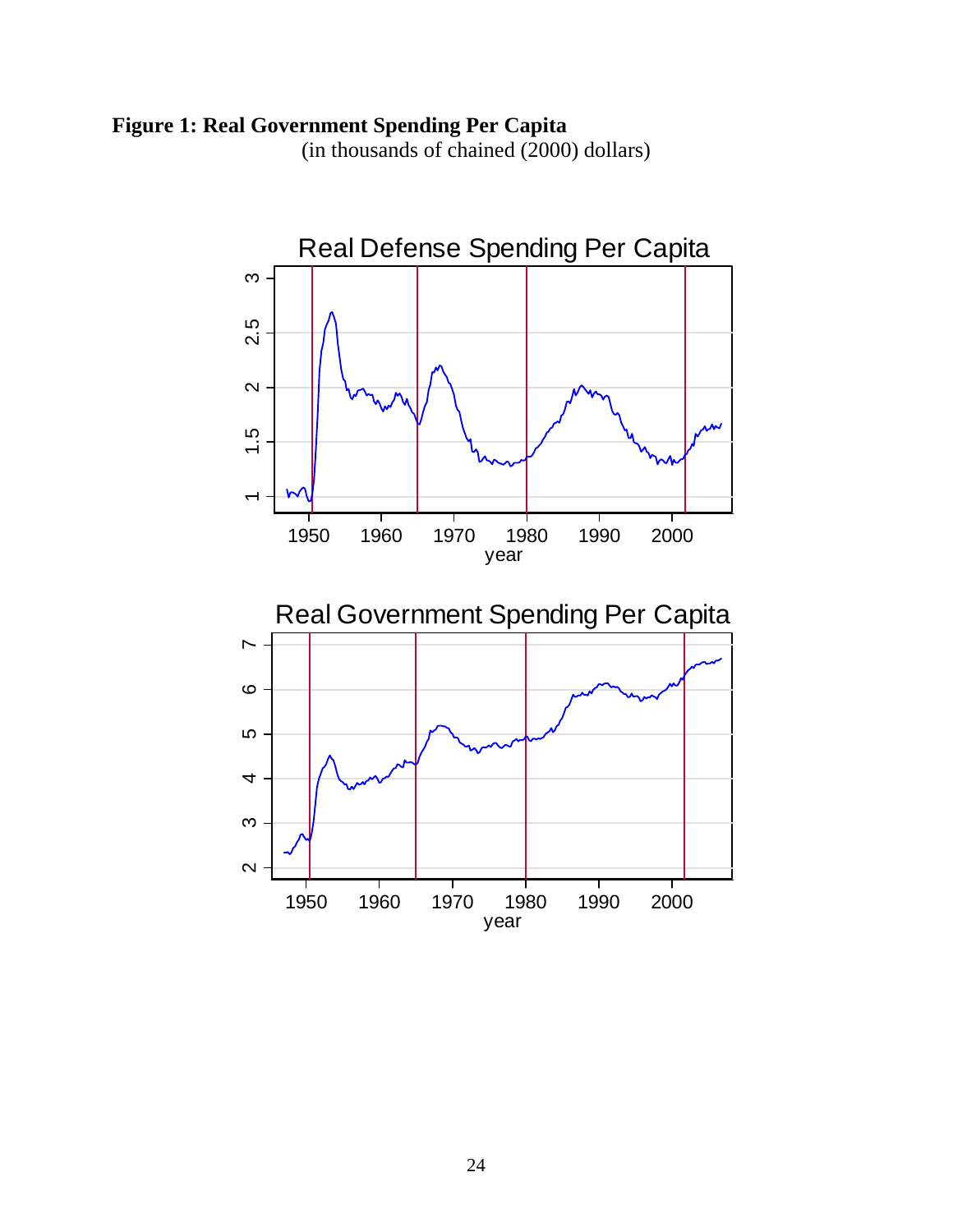# **Figure 1: Real Government Spending Per Capita**

(in thousands of chained (2000) dollars)

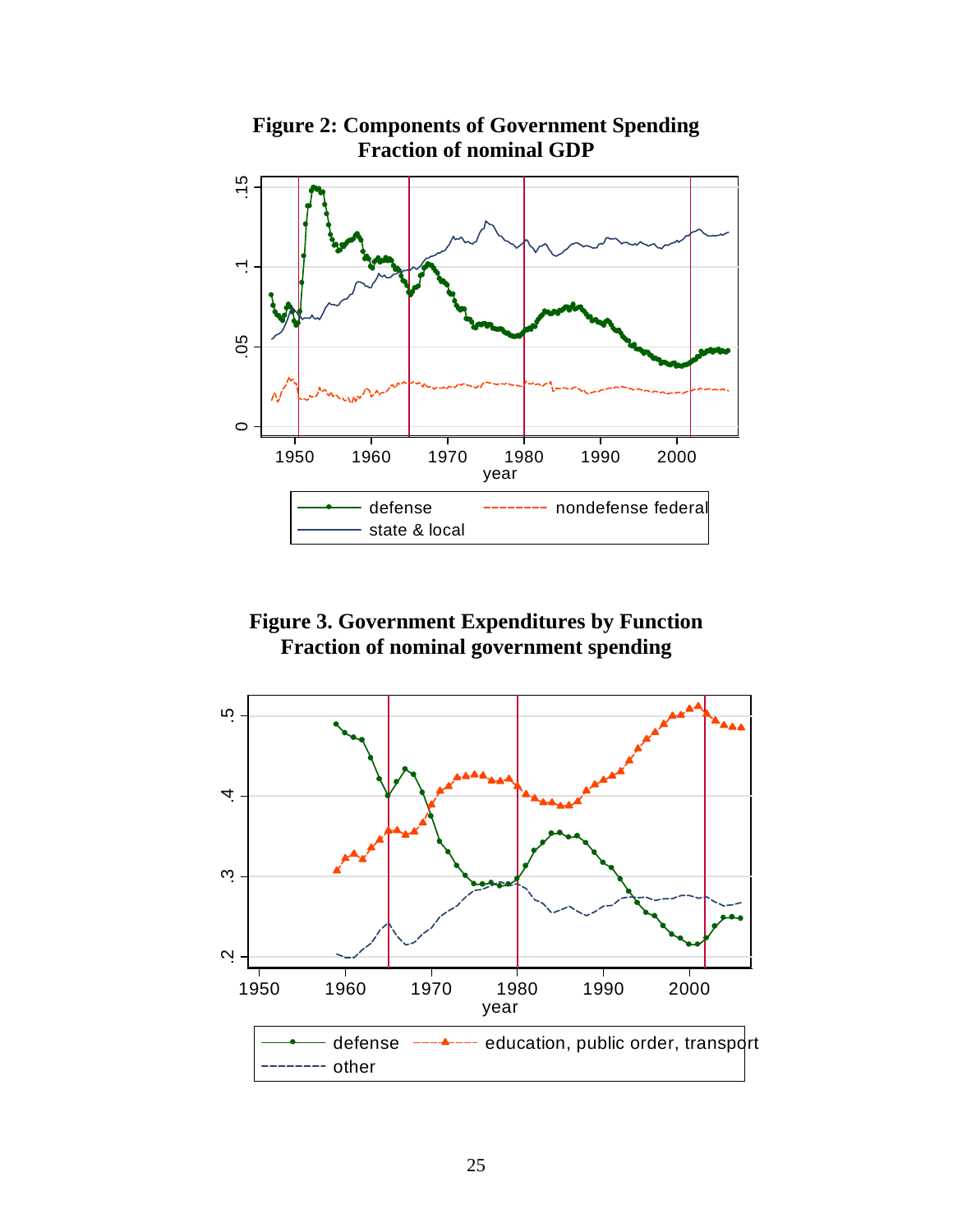

**Figure 2: Components of Government Spending Fraction of nominal GDP** 

**Figure 3. Government Expenditures by Function Fraction of nominal government spending** 

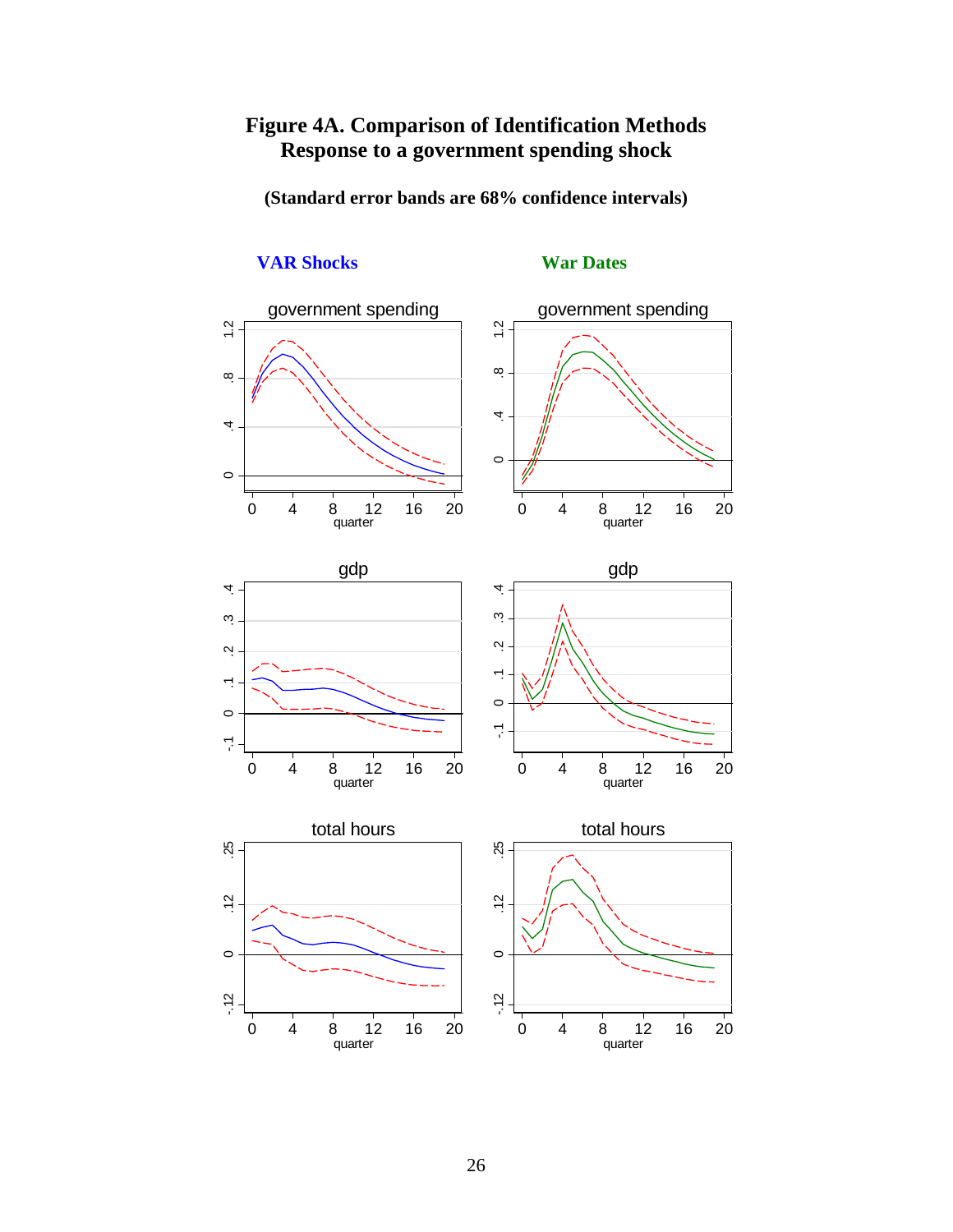# **Figure 4A. Comparison of Identification Methods Response to a government spending shock**

**(Standard error bands are 68% confidence intervals)** 

#### government spending government spending  $\ddot{1}$ .  $1.2$  .4 .8 1.2 .4 .8 1.2  $\infty$  $\infty$ 4  $\overline{4}$  $\circ$  $\circ$ I 0 4 8 12 16 20 quarter 0 4 8 12 16 20 quarter gdp gdp 4 4 -.1 0 .1 .2 .3 .4 -.1 0 .1 .2 .3 .4  $\ddot{\rm c}$ ო.  $\ddot{\Omega}$  $\ddot{\Omega}$  $\overline{\phantom{0}}$  $\overline{\phantom{a}}$  .  $\circ$  $\circ$  $\sum_{i=1}^{n}$  $\sum_{i=1}^{n}$ 0 4 8 12 16 20 0 4 8 12 16 20 quarter quarter total hours total hours  $25$ 25 -.12 0 .12 .25 -.12 0 .12 .25  $\ddot{5}$  $\ddot{5}$  $\circ$  $\circ$  $-12$  $-12$ 0 4 8 12 16 20 0 4 8 12 16 20 quarter quarter

# **VAR Shocks** War Dates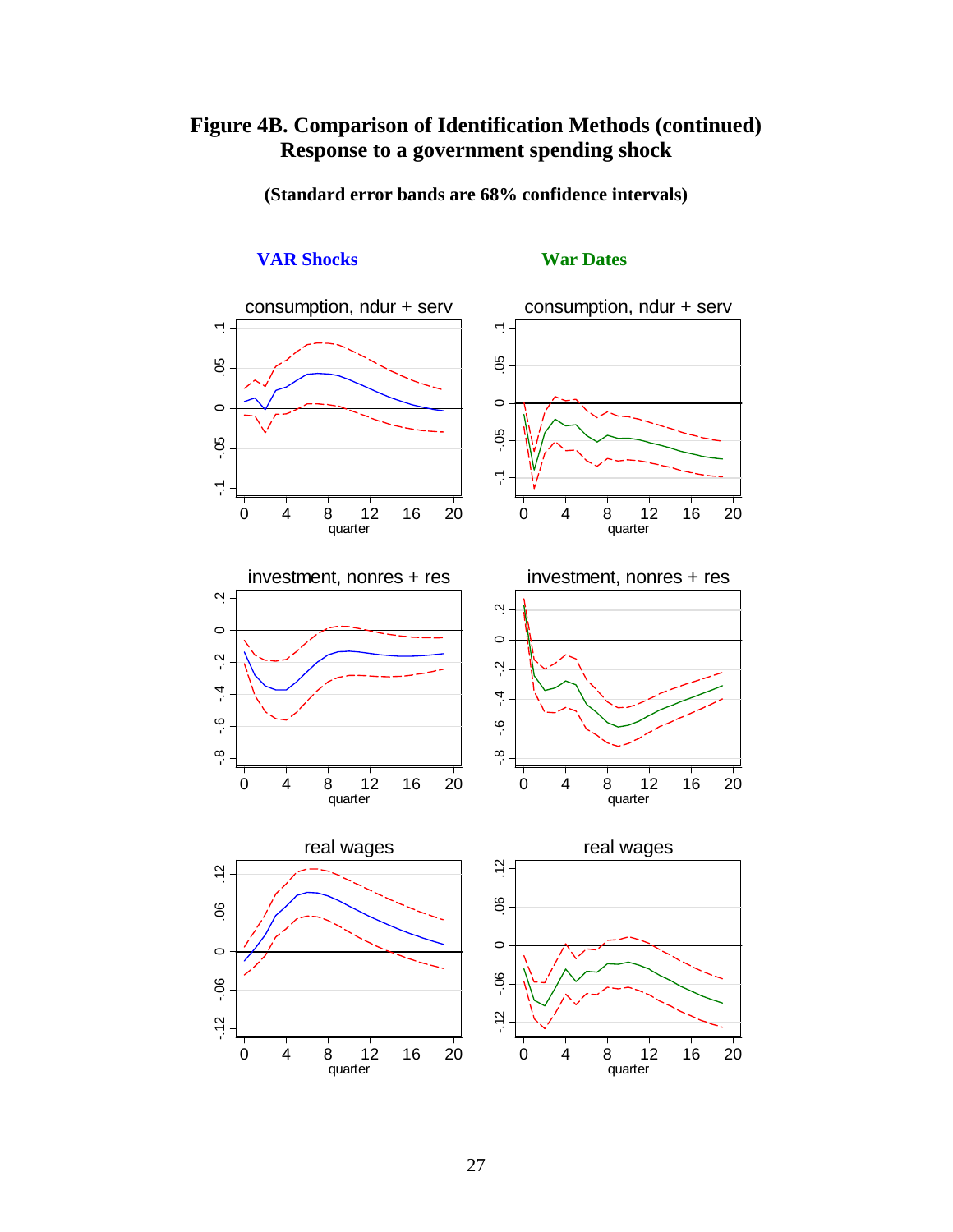# **Figure 4B. Comparison of Identification Methods (continued) Response to a government spending shock**

**(Standard error bands are 68% confidence intervals)** 



# **VAR Shocks War Dates**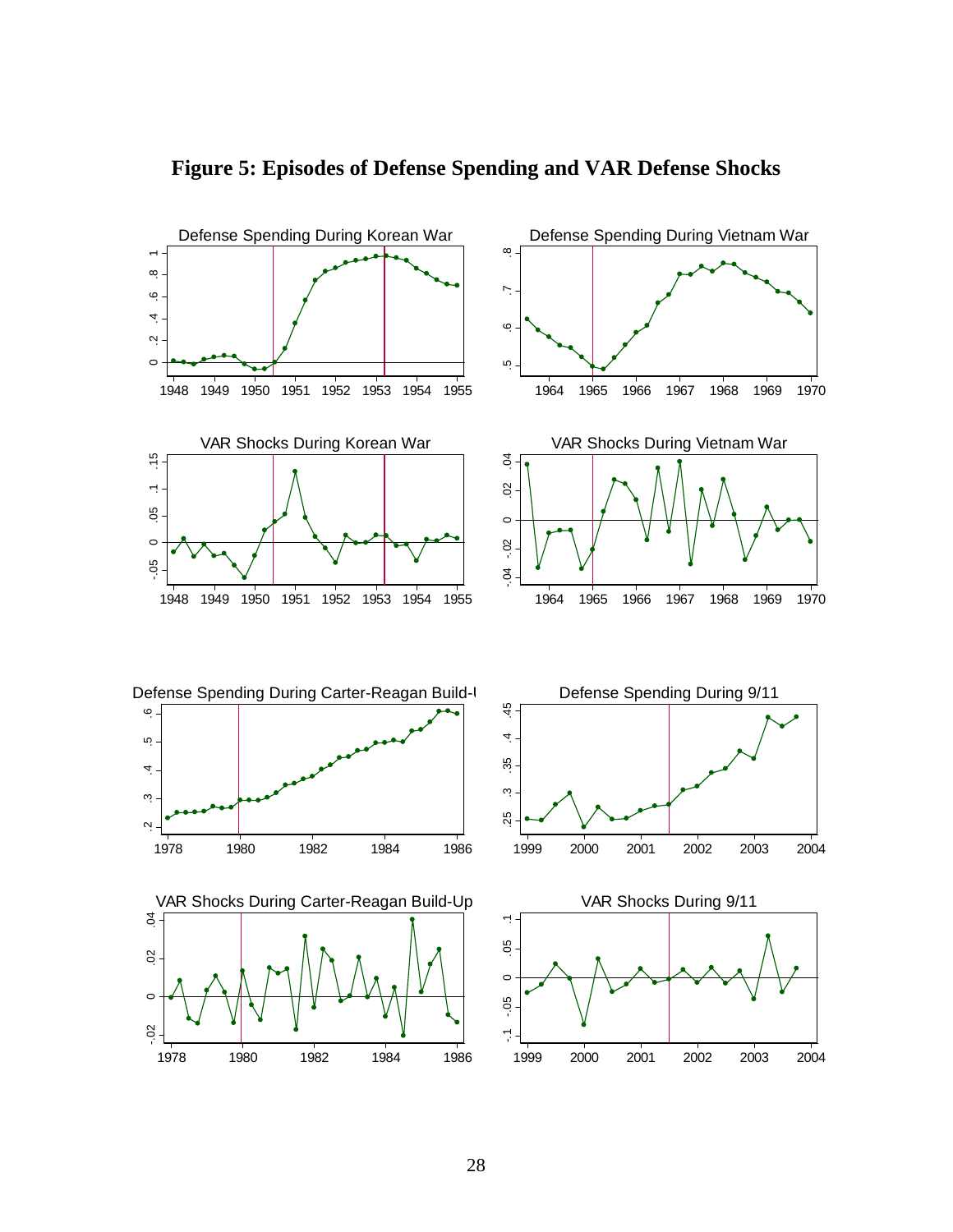

**Figure 5: Episodes of Defense Spending and VAR Defense Shocks**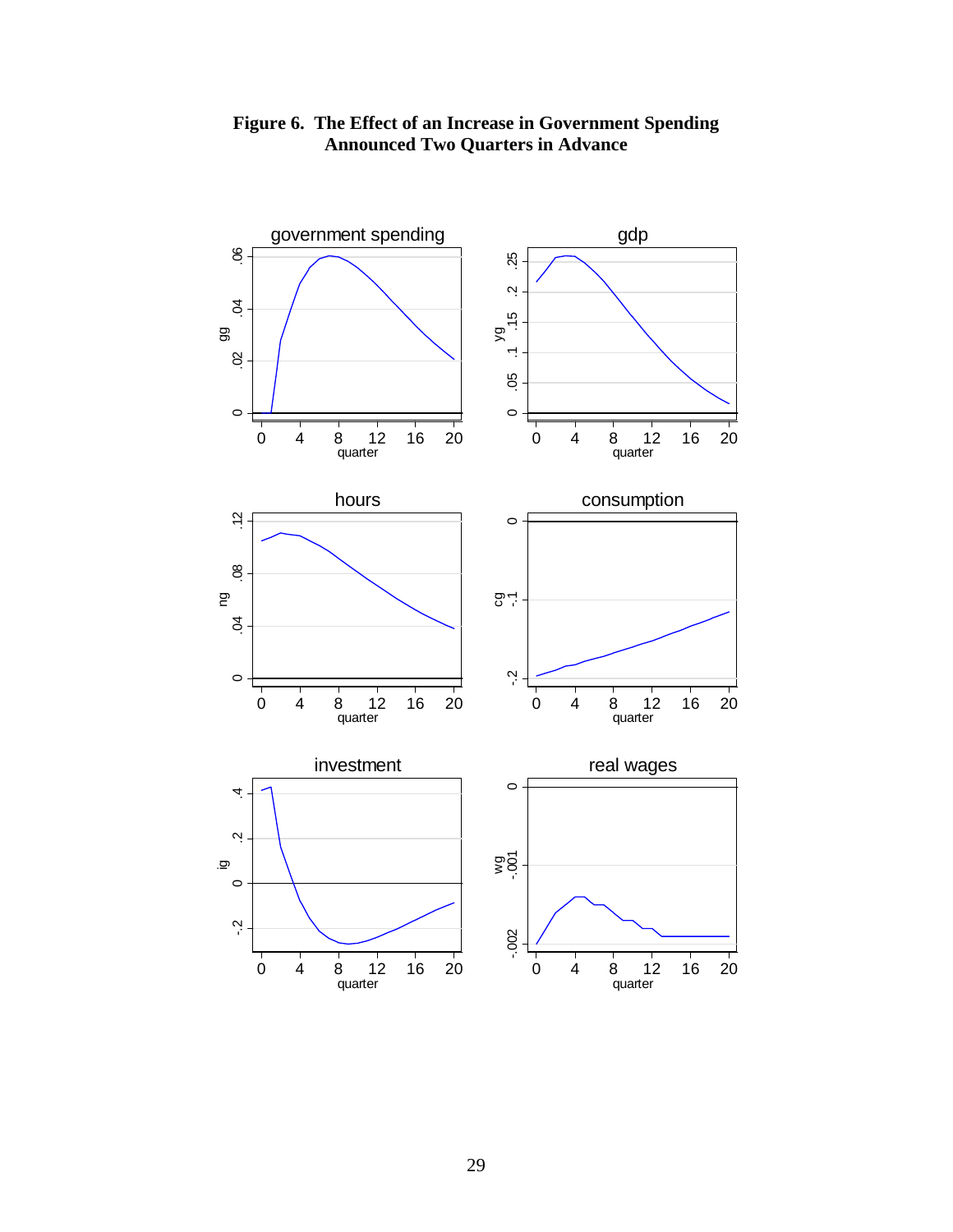

**Figure 6. The Effect of an Increase in Government Spending Announced Two Quarters in Advance**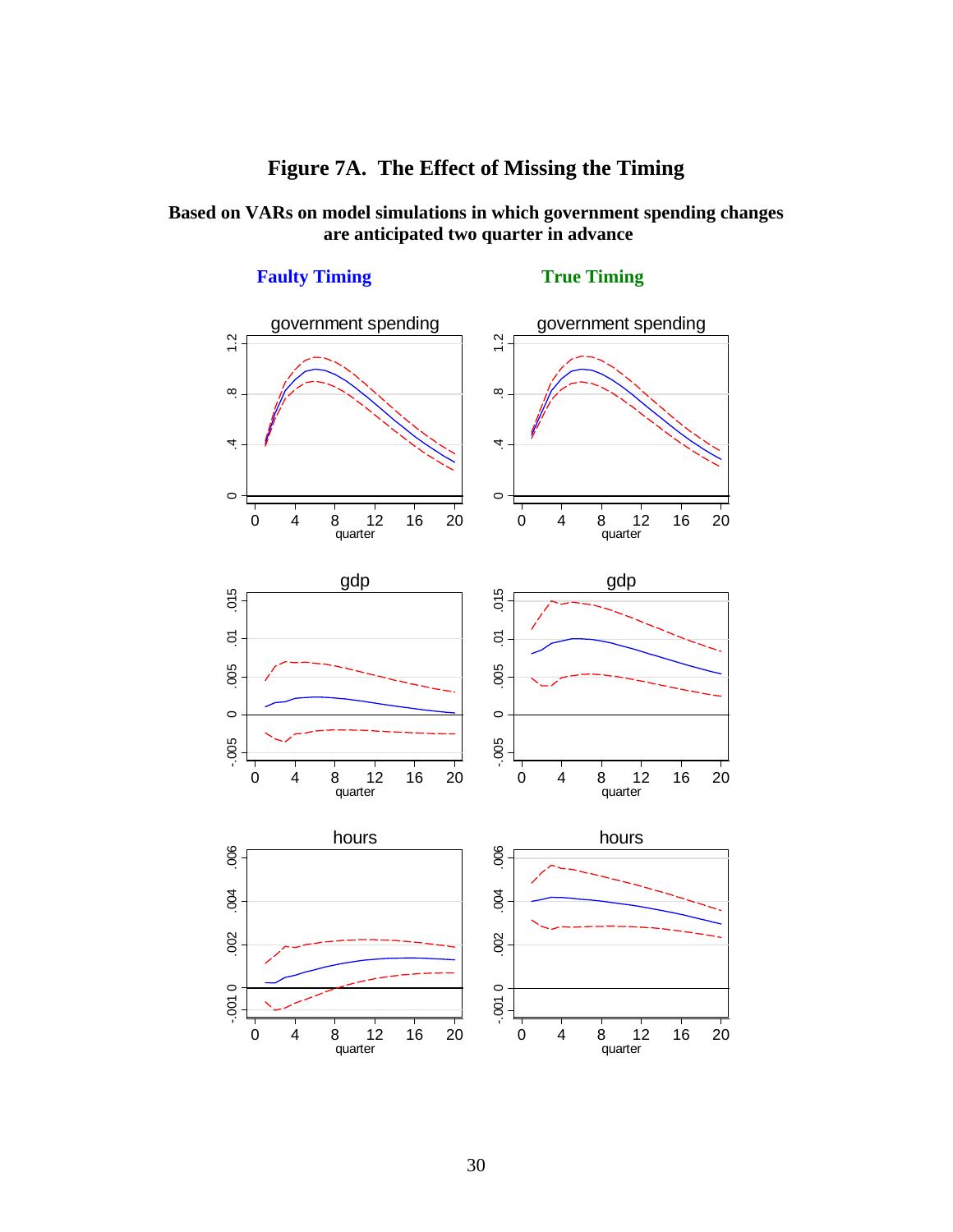# **Figure 7A. The Effect of Missing the Timing**

# **Based on VARs on model simulations in which government spending changes are anticipated two quarter in advance**



**Faulty Timing**  True Timing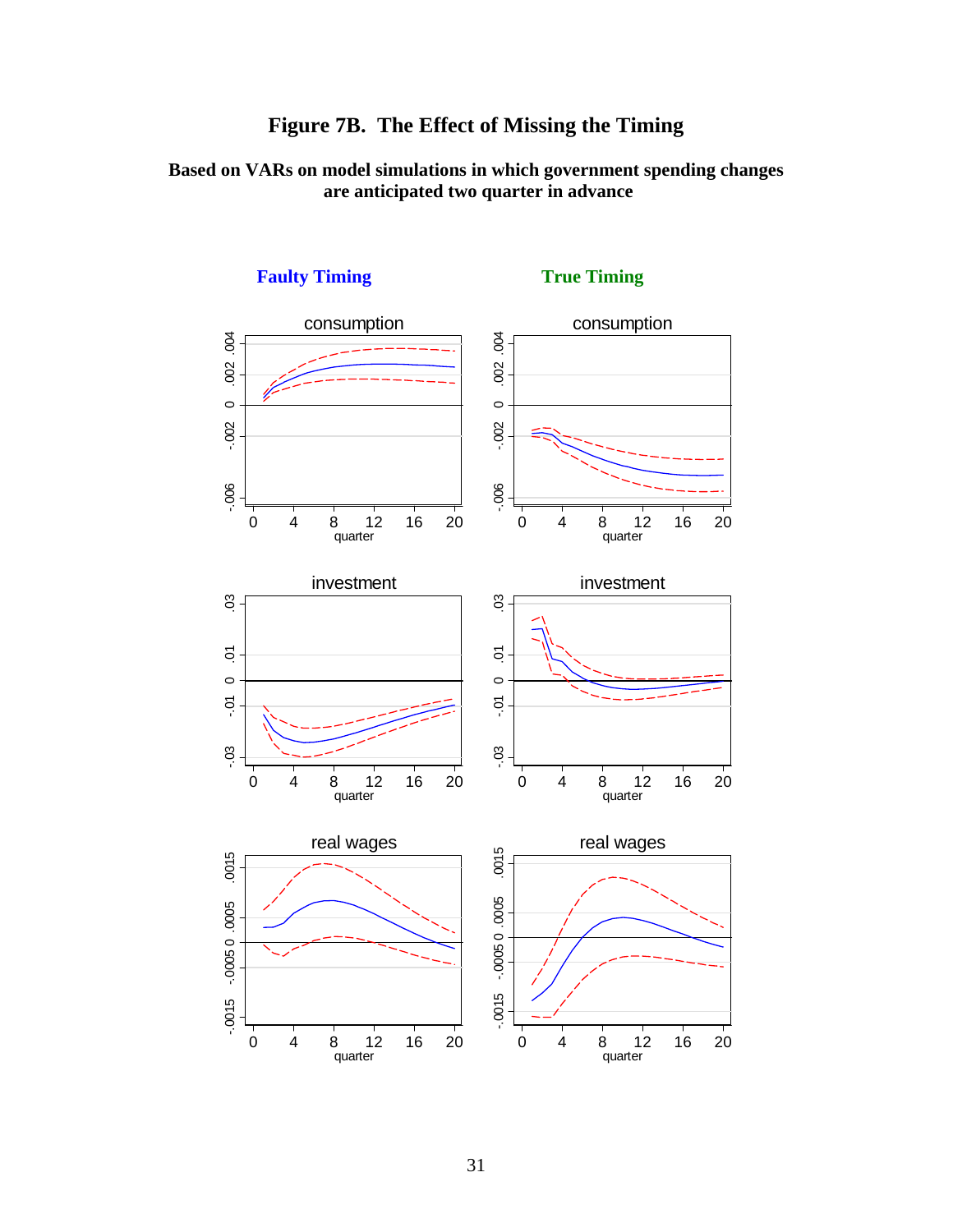

**Based on VARs on model simulations in which government spending changes are anticipated two quarter in advance** 



# **Faulty Timing True Timing True Timing**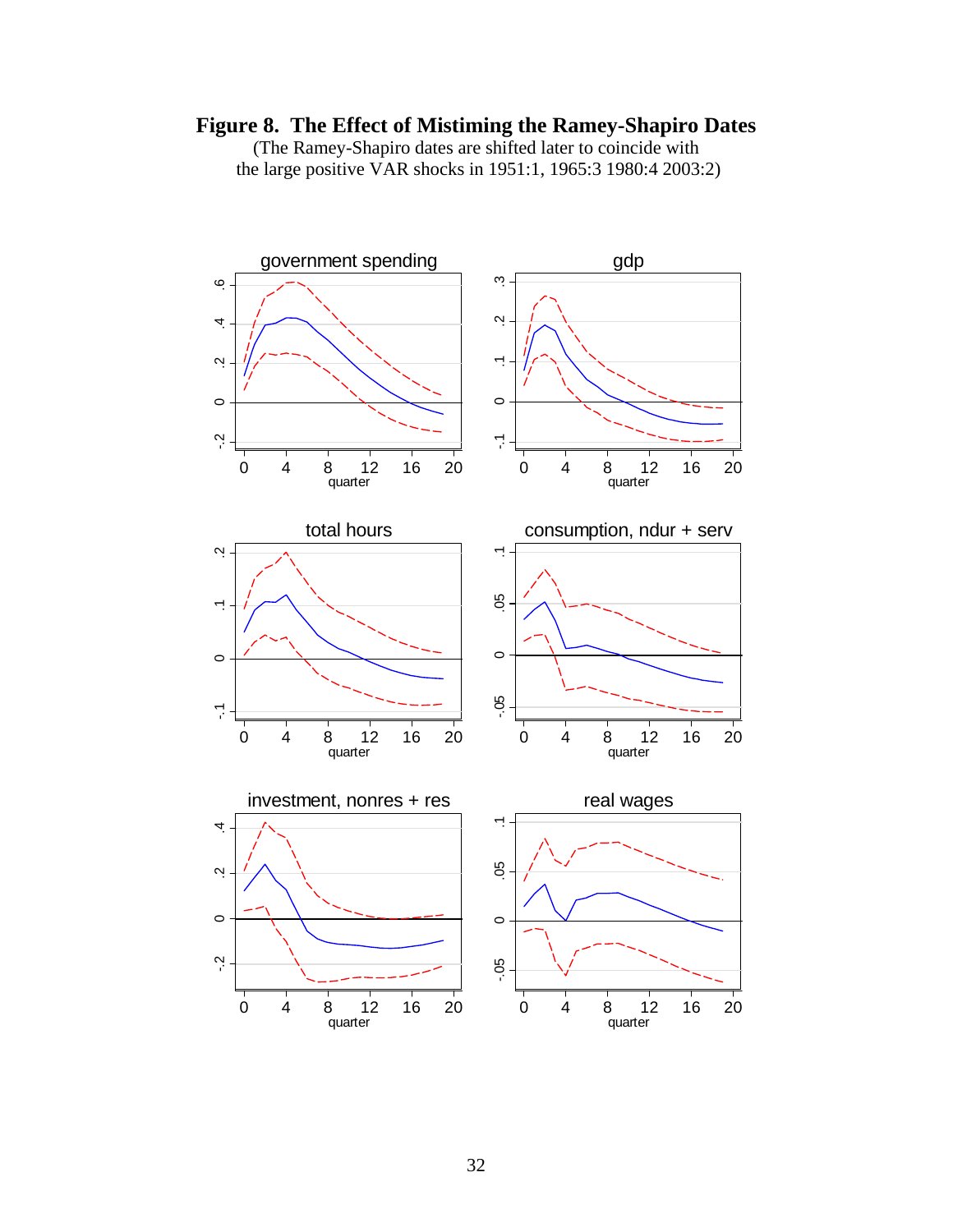# **Figure 8. The Effect of Mistiming the Ramey-Shapiro Dates**

(The Ramey-Shapiro dates are shifted later to coincide with the large positive VAR shocks in 1951:1, 1965:3 1980:4 2003:2)